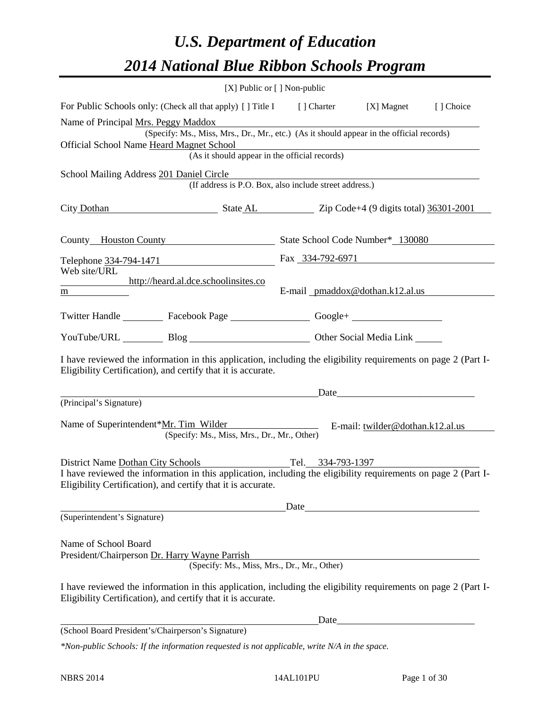# *U.S. Department of Education 2014 National Blue Ribbon Schools Program*

|                                                                                                                                                                                                                                                                                                                                                       |                                                                                                                                                                                                                                     | [X] Public or [] Non-public                   |  |           |
|-------------------------------------------------------------------------------------------------------------------------------------------------------------------------------------------------------------------------------------------------------------------------------------------------------------------------------------------------------|-------------------------------------------------------------------------------------------------------------------------------------------------------------------------------------------------------------------------------------|-----------------------------------------------|--|-----------|
| For Public Schools only: (Check all that apply) [] Title I [] Charter [X] Magnet                                                                                                                                                                                                                                                                      |                                                                                                                                                                                                                                     |                                               |  | [] Choice |
| Name of Principal Mrs. Peggy Maddox                                                                                                                                                                                                                                                                                                                   | (Specify: Ms., Miss, Mrs., Dr., Mr., etc.) (As it should appear in the official records)                                                                                                                                            |                                               |  |           |
| Official School Name Heard Magnet School                                                                                                                                                                                                                                                                                                              | example School<br>(As it should appear in the official records)                                                                                                                                                                     |                                               |  |           |
|                                                                                                                                                                                                                                                                                                                                                       |                                                                                                                                                                                                                                     |                                               |  |           |
| School Mailing Address 201 Daniel Circle                                                                                                                                                                                                                                                                                                              | (If address is P.O. Box, also include street address.)                                                                                                                                                                              |                                               |  |           |
| City Dothan State AL Zip Code+4 (9 digits total) 36301-2001                                                                                                                                                                                                                                                                                           |                                                                                                                                                                                                                                     |                                               |  |           |
| County Houston County State School Code Number* 130080                                                                                                                                                                                                                                                                                                |                                                                                                                                                                                                                                     |                                               |  |           |
| Telephone $\frac{334-794-1471}{222}$ Fax $\frac{334-792-6971}{222}$                                                                                                                                                                                                                                                                                   |                                                                                                                                                                                                                                     |                                               |  |           |
| Web site/URL<br>http://heard.al.dce.schoolinsites.co<br>$\frac{m}{2}$ and $\frac{m}{2}$ and $\frac{m}{2}$ and $\frac{m}{2}$ and $\frac{m}{2}$ and $\frac{m}{2}$ and $\frac{m}{2}$ and $\frac{m}{2}$ and $\frac{m}{2}$ and $\frac{m}{2}$ and $\frac{m}{2}$ and $\frac{m}{2}$ and $\frac{m}{2}$ and $\frac{m}{2}$ and $\frac{m}{2}$ and $\frac{m}{2}$ a |                                                                                                                                                                                                                                     | E-mail pmaddox@dothan.k12.al.us               |  |           |
| Twitter Handle ___________ Facebook Page ___________________ Google+ ____________                                                                                                                                                                                                                                                                     |                                                                                                                                                                                                                                     |                                               |  |           |
|                                                                                                                                                                                                                                                                                                                                                       |                                                                                                                                                                                                                                     | YouTube/URL Blog Blog Diher Social Media Link |  |           |
| I have reviewed the information in this application, including the eligibility requirements on page 2 (Part I-<br>Eligibility Certification), and certify that it is accurate.                                                                                                                                                                        |                                                                                                                                                                                                                                     |                                               |  |           |
|                                                                                                                                                                                                                                                                                                                                                       | <u>Date</u> Date Date Development of the Second Second Second Second Second Second Second Second Second Second Second Second Second Second Second Second Second Second Second Second Second Second Second Second Second Second Seco |                                               |  |           |
| (Principal's Signature)                                                                                                                                                                                                                                                                                                                               |                                                                                                                                                                                                                                     |                                               |  |           |
| Name of Superintendent*Mr. Tim Wilder E-mail: twilder@dothan.k12.al.us                                                                                                                                                                                                                                                                                | (Specify: Ms., Miss, Mrs., Dr., Mr., Other)                                                                                                                                                                                         |                                               |  |           |
| District Name Dothan City Schools Tel. 334-793-1397                                                                                                                                                                                                                                                                                                   |                                                                                                                                                                                                                                     |                                               |  |           |
| I have reviewed the information in this application, including the eligibility requirements on page 2 (Part I-<br>Eligibility Certification), and certify that it is accurate.                                                                                                                                                                        |                                                                                                                                                                                                                                     |                                               |  |           |
|                                                                                                                                                                                                                                                                                                                                                       |                                                                                                                                                                                                                                     | Date                                          |  |           |
| (Superintendent's Signature)                                                                                                                                                                                                                                                                                                                          |                                                                                                                                                                                                                                     |                                               |  |           |
| Name of School Board<br>President/Chairperson Dr. Harry Wayne Parrish                                                                                                                                                                                                                                                                                 | (Specify: Ms., Miss, Mrs., Dr., Mr., Other)                                                                                                                                                                                         |                                               |  |           |
| I have reviewed the information in this application, including the eligibility requirements on page 2 (Part I-<br>Eligibility Certification), and certify that it is accurate.                                                                                                                                                                        |                                                                                                                                                                                                                                     |                                               |  |           |
|                                                                                                                                                                                                                                                                                                                                                       |                                                                                                                                                                                                                                     | Date                                          |  |           |
| (School Board President's/Chairperson's Signature)                                                                                                                                                                                                                                                                                                    |                                                                                                                                                                                                                                     |                                               |  |           |
| *Non-public Schools: If the information requested is not applicable, write N/A in the space.                                                                                                                                                                                                                                                          |                                                                                                                                                                                                                                     |                                               |  |           |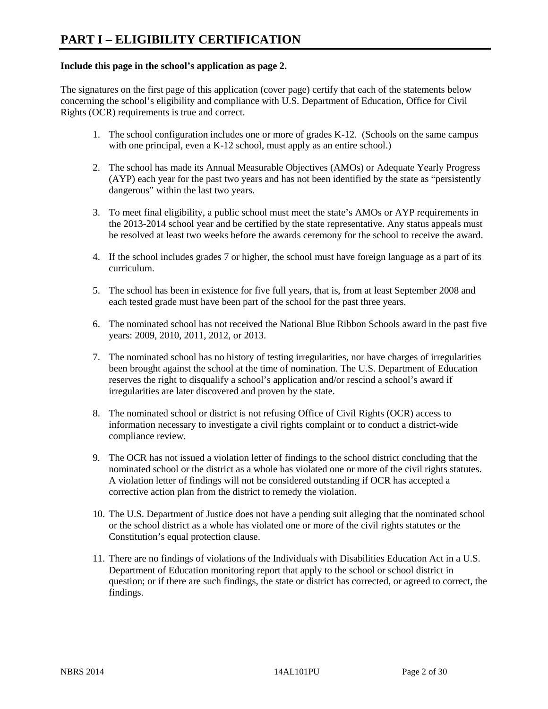#### **Include this page in the school's application as page 2.**

The signatures on the first page of this application (cover page) certify that each of the statements below concerning the school's eligibility and compliance with U.S. Department of Education, Office for Civil Rights (OCR) requirements is true and correct.

- 1. The school configuration includes one or more of grades K-12. (Schools on the same campus with one principal, even a K-12 school, must apply as an entire school.)
- 2. The school has made its Annual Measurable Objectives (AMOs) or Adequate Yearly Progress (AYP) each year for the past two years and has not been identified by the state as "persistently dangerous" within the last two years.
- 3. To meet final eligibility, a public school must meet the state's AMOs or AYP requirements in the 2013-2014 school year and be certified by the state representative. Any status appeals must be resolved at least two weeks before the awards ceremony for the school to receive the award.
- 4. If the school includes grades 7 or higher, the school must have foreign language as a part of its curriculum.
- 5. The school has been in existence for five full years, that is, from at least September 2008 and each tested grade must have been part of the school for the past three years.
- 6. The nominated school has not received the National Blue Ribbon Schools award in the past five years: 2009, 2010, 2011, 2012, or 2013.
- 7. The nominated school has no history of testing irregularities, nor have charges of irregularities been brought against the school at the time of nomination. The U.S. Department of Education reserves the right to disqualify a school's application and/or rescind a school's award if irregularities are later discovered and proven by the state.
- 8. The nominated school or district is not refusing Office of Civil Rights (OCR) access to information necessary to investigate a civil rights complaint or to conduct a district-wide compliance review.
- 9. The OCR has not issued a violation letter of findings to the school district concluding that the nominated school or the district as a whole has violated one or more of the civil rights statutes. A violation letter of findings will not be considered outstanding if OCR has accepted a corrective action plan from the district to remedy the violation.
- 10. The U.S. Department of Justice does not have a pending suit alleging that the nominated school or the school district as a whole has violated one or more of the civil rights statutes or the Constitution's equal protection clause.
- 11. There are no findings of violations of the Individuals with Disabilities Education Act in a U.S. Department of Education monitoring report that apply to the school or school district in question; or if there are such findings, the state or district has corrected, or agreed to correct, the findings.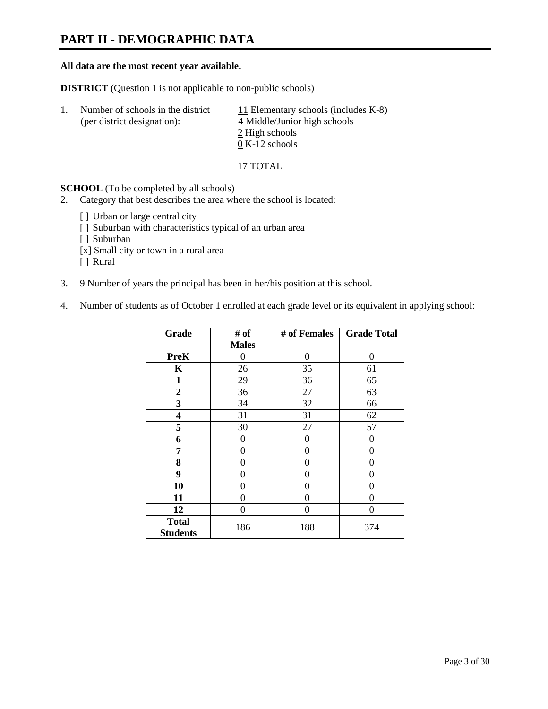# **PART II - DEMOGRAPHIC DATA**

#### **All data are the most recent year available.**

**DISTRICT** (Question 1 is not applicable to non-public schools)

| -1. | Number of schools in the district<br>(per district designation): | 11 Elementary schools (includes K-8)<br>4 Middle/Junior high schools |  |  |
|-----|------------------------------------------------------------------|----------------------------------------------------------------------|--|--|
|     |                                                                  | 2 High schools                                                       |  |  |
|     |                                                                  | $0 K-12$ schools                                                     |  |  |

17 TOTAL

**SCHOOL** (To be completed by all schools)

- 2. Category that best describes the area where the school is located:
	- [] Urban or large central city
	- [ ] Suburban with characteristics typical of an urban area
	- [ ] Suburban
	- [x] Small city or town in a rural area
	- [ ] Rural
- 3. 9 Number of years the principal has been in her/his position at this school.
- 4. Number of students as of October 1 enrolled at each grade level or its equivalent in applying school:

| Grade                           | # of         | # of Females | <b>Grade Total</b> |
|---------------------------------|--------------|--------------|--------------------|
|                                 | <b>Males</b> |              |                    |
| <b>PreK</b>                     | 0            | $\theta$     | $\Omega$           |
| K                               | 26           | 35           | 61                 |
| $\mathbf{1}$                    | 29           | 36           | 65                 |
| $\boldsymbol{2}$                | 36           | 27           | 63                 |
| 3                               | 34           | 32           | 66                 |
| 4                               | 31           | 31           | 62                 |
| 5                               | 30           | 27           | 57                 |
| 6                               | 0            | 0            | $\theta$           |
| 7                               | 0            | 0            | 0                  |
| 8                               | 0            | 0            | 0                  |
| 9                               | 0            | 0            | 0                  |
| 10                              | 0            | $\Omega$     | 0                  |
| 11                              | 0            | 0            | 0                  |
| 12                              | 0            | 0            | 0                  |
| <b>Total</b><br><b>Students</b> | 186          | 188          | 374                |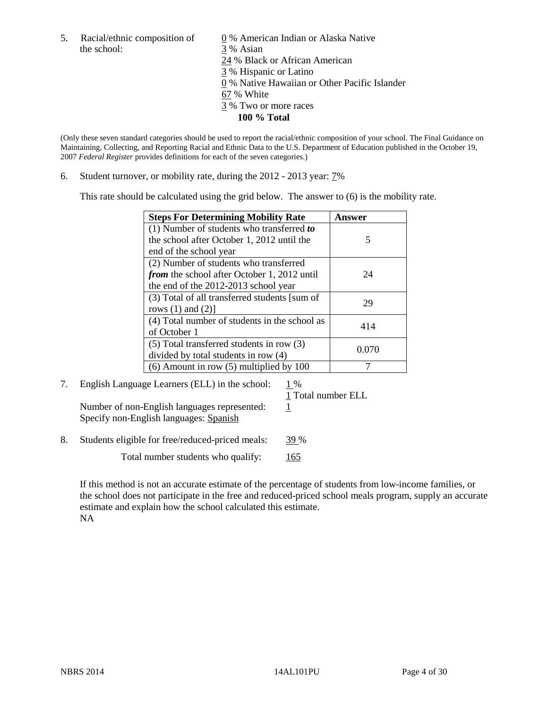the school: 3 % Asian

5. Racial/ethnic composition of  $\qquad \qquad \underline{0}$  % American Indian or Alaska Native 24 % Black or African American 3 % Hispanic or Latino 0 % Native Hawaiian or Other Pacific Islander 67 % White 3 % Two or more races **100 % Total**

(Only these seven standard categories should be used to report the racial/ethnic composition of your school. The Final Guidance on Maintaining, Collecting, and Reporting Racial and Ethnic Data to the U.S. Department of Education published in the October 19, 2007 *Federal Register* provides definitions for each of the seven categories.)

6. Student turnover, or mobility rate, during the 2012 - 2013 year: 7%

This rate should be calculated using the grid below. The answer to (6) is the mobility rate.

| <b>Steps For Determining Mobility Rate</b>    | Answer |
|-----------------------------------------------|--------|
| (1) Number of students who transferred to     |        |
| the school after October 1, 2012 until the    | 5      |
| end of the school year                        |        |
| (2) Number of students who transferred        |        |
| from the school after October 1, 2012 until   | 24     |
| the end of the 2012-2013 school year          |        |
| (3) Total of all transferred students [sum of | 29     |
| rows $(1)$ and $(2)$ ]                        |        |
| (4) Total number of students in the school as | 414    |
| of October 1                                  |        |
| $(5)$ Total transferred students in row $(3)$ | 0.070  |
| divided by total students in row (4)          |        |
| $(6)$ Amount in row $(5)$ multiplied by 100   |        |

7. English Language Learners (ELL) in the school:  $1\%$ Number of non-English languages represented:  $1$ 

Specify non-English languages: Spanish

1 Total number ELL

8. Students eligible for free/reduced-priced meals: 39 %

Total number students who qualify: 165

If this method is not an accurate estimate of the percentage of students from low-income families, or the school does not participate in the free and reduced-priced school meals program, supply an accurate estimate and explain how the school calculated this estimate. NA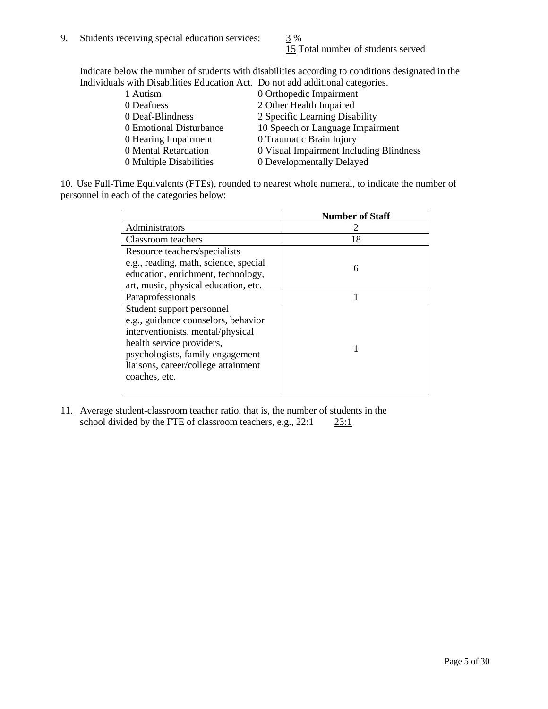15 Total number of students served

Indicate below the number of students with disabilities according to conditions designated in the Individuals with Disabilities Education Act. Do not add additional categories.

| 1 Autism                | 0 Orthopedic Impairment                 |
|-------------------------|-----------------------------------------|
| 0 Deafness              | 2 Other Health Impaired                 |
| 0 Deaf-Blindness        | 2 Specific Learning Disability          |
| 0 Emotional Disturbance | 10 Speech or Language Impairment        |
| 0 Hearing Impairment    | 0 Traumatic Brain Injury                |
| 0 Mental Retardation    | 0 Visual Impairment Including Blindness |
| 0 Multiple Disabilities | 0 Developmentally Delayed               |
|                         |                                         |

10. Use Full-Time Equivalents (FTEs), rounded to nearest whole numeral, to indicate the number of personnel in each of the categories below:

|                                       | <b>Number of Staff</b> |
|---------------------------------------|------------------------|
| Administrators                        |                        |
| Classroom teachers                    | 18                     |
| Resource teachers/specialists         |                        |
| e.g., reading, math, science, special | 6                      |
| education, enrichment, technology,    |                        |
| art, music, physical education, etc.  |                        |
| Paraprofessionals                     |                        |
| Student support personnel             |                        |
| e.g., guidance counselors, behavior   |                        |
| interventionists, mental/physical     |                        |
| health service providers,             |                        |
| psychologists, family engagement      |                        |
| liaisons, career/college attainment   |                        |
| coaches, etc.                         |                        |
|                                       |                        |

11. Average student-classroom teacher ratio, that is, the number of students in the school divided by the FTE of classroom teachers, e.g.,  $22:1$   $23:1$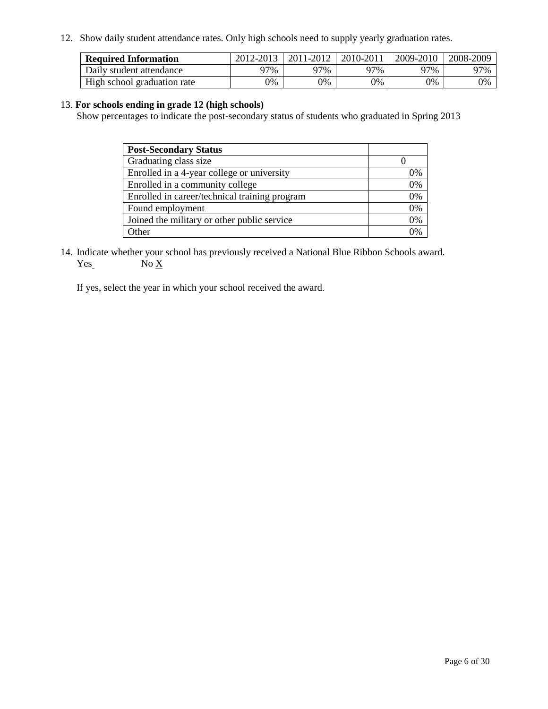12. Show daily student attendance rates. Only high schools need to supply yearly graduation rates.

| <b>Required Information</b> | 2012-2013 | 2011-2012 | 2010-2011 | 2009-2010 | 2008-2009 |
|-----------------------------|-----------|-----------|-----------|-----------|-----------|
| Daily student attendance    | 77%       | 97%       | 27%       | 97%       | 97%       |
| High school graduation rate | 0%        | 9%        | 0%        | 0%        | 0%        |

#### 13. **For schools ending in grade 12 (high schools)**

Show percentages to indicate the post-secondary status of students who graduated in Spring 2013

| <b>Post-Secondary Status</b>                  |    |
|-----------------------------------------------|----|
| Graduating class size                         |    |
| Enrolled in a 4-year college or university    | 0% |
| Enrolled in a community college               | 0% |
| Enrolled in career/technical training program | 0% |
| Found employment                              | 0% |
| Joined the military or other public service   | 0% |
| <b>)</b> ther                                 | 2% |

14. Indicate whether your school has previously received a National Blue Ribbon Schools award.  $Yes$  No  $X$ 

If yes, select the year in which your school received the award.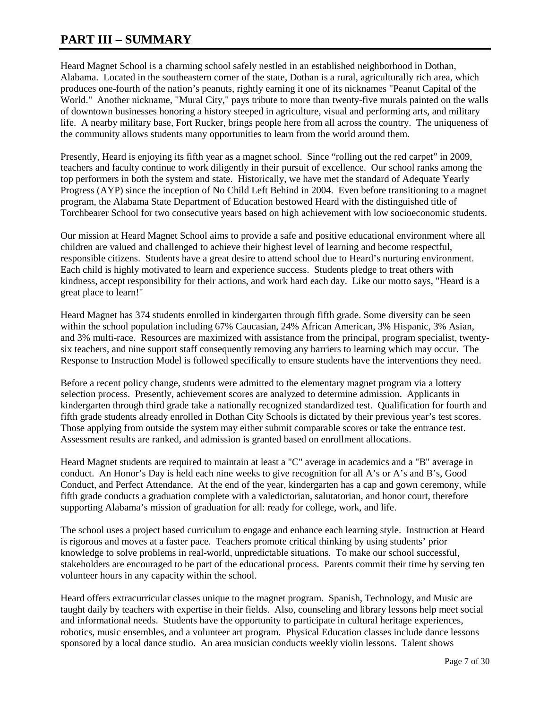## **PART III – SUMMARY**

Heard Magnet School is a charming school safely nestled in an established neighborhood in Dothan, Alabama. Located in the southeastern corner of the state, Dothan is a rural, agriculturally rich area, which produces one-fourth of the nation's peanuts, rightly earning it one of its nicknames "Peanut Capital of the World." Another nickname, "Mural City," pays tribute to more than twenty-five murals painted on the walls of downtown businesses honoring a history steeped in agriculture, visual and performing arts, and military life. A nearby military base, Fort Rucker, brings people here from all across the country. The uniqueness of the community allows students many opportunities to learn from the world around them.

Presently, Heard is enjoying its fifth year as a magnet school. Since "rolling out the red carpet" in 2009, teachers and faculty continue to work diligently in their pursuit of excellence. Our school ranks among the top performers in both the system and state. Historically, we have met the standard of Adequate Yearly Progress (AYP) since the inception of No Child Left Behind in 2004. Even before transitioning to a magnet program, the Alabama State Department of Education bestowed Heard with the distinguished title of Torchbearer School for two consecutive years based on high achievement with low socioeconomic students.

Our mission at Heard Magnet School aims to provide a safe and positive educational environment where all children are valued and challenged to achieve their highest level of learning and become respectful, responsible citizens. Students have a great desire to attend school due to Heard's nurturing environment. Each child is highly motivated to learn and experience success. Students pledge to treat others with kindness, accept responsibility for their actions, and work hard each day. Like our motto says, "Heard is a great place to learn!"

Heard Magnet has 374 students enrolled in kindergarten through fifth grade. Some diversity can be seen within the school population including 67% Caucasian, 24% African American, 3% Hispanic, 3% Asian, and 3% multi-race. Resources are maximized with assistance from the principal, program specialist, twentysix teachers, and nine support staff consequently removing any barriers to learning which may occur. The Response to Instruction Model is followed specifically to ensure students have the interventions they need.

Before a recent policy change, students were admitted to the elementary magnet program via a lottery selection process. Presently, achievement scores are analyzed to determine admission. Applicants in kindergarten through third grade take a nationally recognized standardized test. Qualification for fourth and fifth grade students already enrolled in Dothan City Schools is dictated by their previous year's test scores. Those applying from outside the system may either submit comparable scores or take the entrance test. Assessment results are ranked, and admission is granted based on enrollment allocations.

Heard Magnet students are required to maintain at least a "C" average in academics and a "B" average in conduct. An Honor's Day is held each nine weeks to give recognition for all A's or A's and B's, Good Conduct, and Perfect Attendance. At the end of the year, kindergarten has a cap and gown ceremony, while fifth grade conducts a graduation complete with a valedictorian, salutatorian, and honor court, therefore supporting Alabama's mission of graduation for all: ready for college, work, and life.

The school uses a project based curriculum to engage and enhance each learning style. Instruction at Heard is rigorous and moves at a faster pace. Teachers promote critical thinking by using students' prior knowledge to solve problems in real-world, unpredictable situations. To make our school successful, stakeholders are encouraged to be part of the educational process. Parents commit their time by serving ten volunteer hours in any capacity within the school.

Heard offers extracurricular classes unique to the magnet program. Spanish, Technology, and Music are taught daily by teachers with expertise in their fields. Also, counseling and library lessons help meet social and informational needs. Students have the opportunity to participate in cultural heritage experiences, robotics, music ensembles, and a volunteer art program. Physical Education classes include dance lessons sponsored by a local dance studio. An area musician conducts weekly violin lessons. Talent shows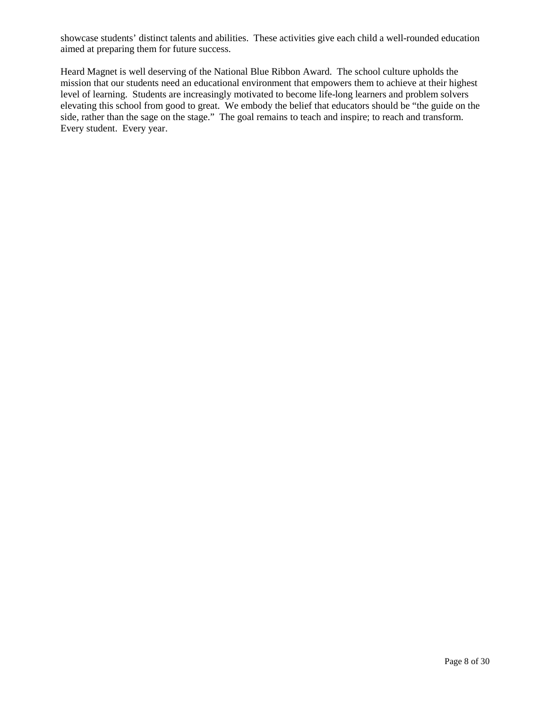showcase students' distinct talents and abilities. These activities give each child a well-rounded education aimed at preparing them for future success.

Heard Magnet is well deserving of the National Blue Ribbon Award. The school culture upholds the mission that our students need an educational environment that empowers them to achieve at their highest level of learning. Students are increasingly motivated to become life-long learners and problem solvers elevating this school from good to great. We embody the belief that educators should be "the guide on the side, rather than the sage on the stage." The goal remains to teach and inspire; to reach and transform. Every student. Every year.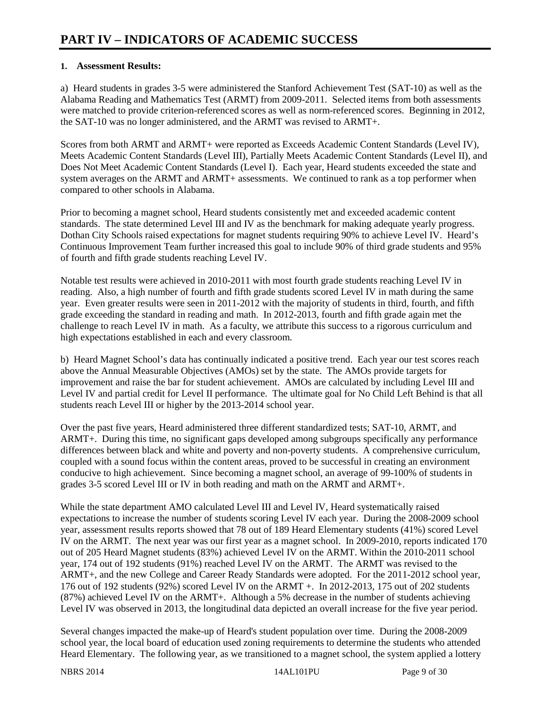### **1. Assessment Results:**

a) Heard students in grades 3-5 were administered the Stanford Achievement Test (SAT-10) as well as the Alabama Reading and Mathematics Test (ARMT) from 2009-2011. Selected items from both assessments were matched to provide criterion-referenced scores as well as norm-referenced scores. Beginning in 2012, the SAT-10 was no longer administered, and the ARMT was revised to ARMT+.

Scores from both ARMT and ARMT+ were reported as Exceeds Academic Content Standards (Level IV), Meets Academic Content Standards (Level III), Partially Meets Academic Content Standards (Level II), and Does Not Meet Academic Content Standards (Level I). Each year, Heard students exceeded the state and system averages on the ARMT and ARMT+ assessments. We continued to rank as a top performer when compared to other schools in Alabama.

Prior to becoming a magnet school, Heard students consistently met and exceeded academic content standards. The state determined Level III and IV as the benchmark for making adequate yearly progress. Dothan City Schools raised expectations for magnet students requiring 90% to achieve Level IV. Heard's Continuous Improvement Team further increased this goal to include 90% of third grade students and 95% of fourth and fifth grade students reaching Level IV.

Notable test results were achieved in 2010-2011 with most fourth grade students reaching Level IV in reading. Also, a high number of fourth and fifth grade students scored Level IV in math during the same year. Even greater results were seen in 2011-2012 with the majority of students in third, fourth, and fifth grade exceeding the standard in reading and math. In 2012-2013, fourth and fifth grade again met the challenge to reach Level IV in math. As a faculty, we attribute this success to a rigorous curriculum and high expectations established in each and every classroom.

b) Heard Magnet School's data has continually indicated a positive trend. Each year our test scores reach above the Annual Measurable Objectives (AMOs) set by the state. The AMOs provide targets for improvement and raise the bar for student achievement. AMOs are calculated by including Level III and Level IV and partial credit for Level II performance. The ultimate goal for No Child Left Behind is that all students reach Level III or higher by the 2013-2014 school year.

Over the past five years, Heard administered three different standardized tests; SAT-10, ARMT, and ARMT+. During this time, no significant gaps developed among subgroups specifically any performance differences between black and white and poverty and non-poverty students. A comprehensive curriculum, coupled with a sound focus within the content areas, proved to be successful in creating an environment conducive to high achievement. Since becoming a magnet school, an average of 99-100% of students in grades 3-5 scored Level III or IV in both reading and math on the ARMT and ARMT+.

While the state department AMO calculated Level III and Level IV, Heard systematically raised expectations to increase the number of students scoring Level IV each year. During the 2008-2009 school year, assessment results reports showed that 78 out of 189 Heard Elementary students (41%) scored Level IV on the ARMT. The next year was our first year as a magnet school. In 2009-2010, reports indicated 170 out of 205 Heard Magnet students (83%) achieved Level IV on the ARMT. Within the 2010-2011 school year, 174 out of 192 students (91%) reached Level IV on the ARMT. The ARMT was revised to the ARMT+, and the new College and Career Ready Standards were adopted. For the 2011-2012 school year, 176 out of 192 students (92%) scored Level IV on the ARMT +. In 2012-2013, 175 out of 202 students (87%) achieved Level IV on the ARMT+. Although a 5% decrease in the number of students achieving Level IV was observed in 2013, the longitudinal data depicted an overall increase for the five year period.

Several changes impacted the make-up of Heard's student population over time. During the 2008-2009 school year, the local board of education used zoning requirements to determine the students who attended Heard Elementary. The following year, as we transitioned to a magnet school, the system applied a lottery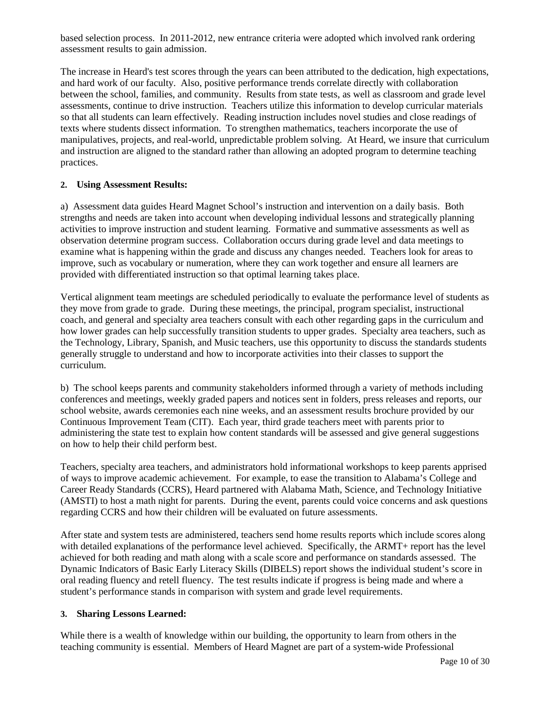based selection process. In 2011-2012, new entrance criteria were adopted which involved rank ordering assessment results to gain admission.

The increase in Heard's test scores through the years can been attributed to the dedication, high expectations, and hard work of our faculty. Also, positive performance trends correlate directly with collaboration between the school, families, and community. Results from state tests, as well as classroom and grade level assessments, continue to drive instruction. Teachers utilize this information to develop curricular materials so that all students can learn effectively. Reading instruction includes novel studies and close readings of texts where students dissect information. To strengthen mathematics, teachers incorporate the use of manipulatives, projects, and real-world, unpredictable problem solving. At Heard, we insure that curriculum and instruction are aligned to the standard rather than allowing an adopted program to determine teaching practices.

#### **2. Using Assessment Results:**

a) Assessment data guides Heard Magnet School's instruction and intervention on a daily basis. Both strengths and needs are taken into account when developing individual lessons and strategically planning activities to improve instruction and student learning. Formative and summative assessments as well as observation determine program success. Collaboration occurs during grade level and data meetings to examine what is happening within the grade and discuss any changes needed. Teachers look for areas to improve, such as vocabulary or numeration, where they can work together and ensure all learners are provided with differentiated instruction so that optimal learning takes place.

Vertical alignment team meetings are scheduled periodically to evaluate the performance level of students as they move from grade to grade. During these meetings, the principal, program specialist, instructional coach, and general and specialty area teachers consult with each other regarding gaps in the curriculum and how lower grades can help successfully transition students to upper grades. Specialty area teachers, such as the Technology, Library, Spanish, and Music teachers, use this opportunity to discuss the standards students generally struggle to understand and how to incorporate activities into their classes to support the curriculum.

b) The school keeps parents and community stakeholders informed through a variety of methods including conferences and meetings, weekly graded papers and notices sent in folders, press releases and reports, our school website, awards ceremonies each nine weeks, and an assessment results brochure provided by our Continuous Improvement Team (CIT). Each year, third grade teachers meet with parents prior to administering the state test to explain how content standards will be assessed and give general suggestions on how to help their child perform best.

Teachers, specialty area teachers, and administrators hold informational workshops to keep parents apprised of ways to improve academic achievement. For example, to ease the transition to Alabama's College and Career Ready Standards (CCRS), Heard partnered with Alabama Math, Science, and Technology Initiative (AMSTI) to host a math night for parents. During the event, parents could voice concerns and ask questions regarding CCRS and how their children will be evaluated on future assessments.

After state and system tests are administered, teachers send home results reports which include scores along with detailed explanations of the performance level achieved. Specifically, the ARMT+ report has the level achieved for both reading and math along with a scale score and performance on standards assessed. The Dynamic Indicators of Basic Early Literacy Skills (DIBELS) report shows the individual student's score in oral reading fluency and retell fluency. The test results indicate if progress is being made and where a student's performance stands in comparison with system and grade level requirements.

#### **3. Sharing Lessons Learned:**

While there is a wealth of knowledge within our building, the opportunity to learn from others in the teaching community is essential. Members of Heard Magnet are part of a system-wide Professional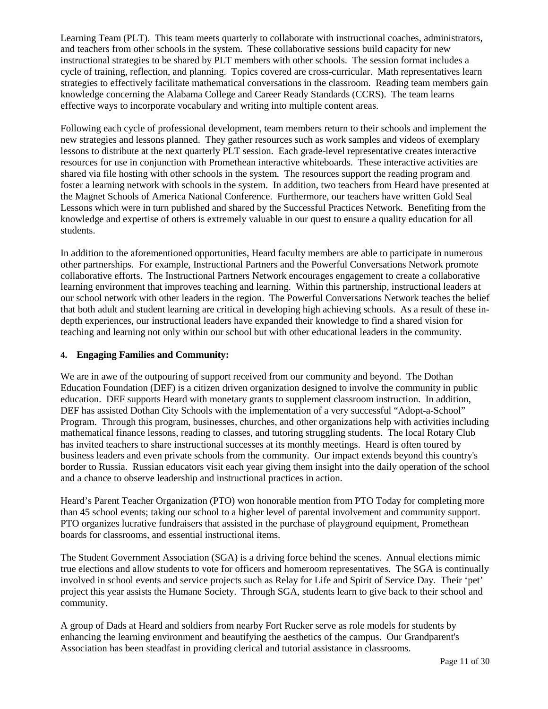Learning Team (PLT). This team meets quarterly to collaborate with instructional coaches, administrators, and teachers from other schools in the system. These collaborative sessions build capacity for new instructional strategies to be shared by PLT members with other schools. The session format includes a cycle of training, reflection, and planning. Topics covered are cross-curricular. Math representatives learn strategies to effectively facilitate mathematical conversations in the classroom. Reading team members gain knowledge concerning the Alabama College and Career Ready Standards (CCRS). The team learns effective ways to incorporate vocabulary and writing into multiple content areas.

Following each cycle of professional development, team members return to their schools and implement the new strategies and lessons planned. They gather resources such as work samples and videos of exemplary lessons to distribute at the next quarterly PLT session. Each grade-level representative creates interactive resources for use in conjunction with Promethean interactive whiteboards. These interactive activities are shared via file hosting with other schools in the system. The resources support the reading program and foster a learning network with schools in the system. In addition, two teachers from Heard have presented at the Magnet Schools of America National Conference. Furthermore, our teachers have written Gold Seal Lessons which were in turn published and shared by the Successful Practices Network. Benefiting from the knowledge and expertise of others is extremely valuable in our quest to ensure a quality education for all students.

In addition to the aforementioned opportunities, Heard faculty members are able to participate in numerous other partnerships. For example, Instructional Partners and the Powerful Conversations Network promote collaborative efforts. The Instructional Partners Network encourages engagement to create a collaborative learning environment that improves teaching and learning. Within this partnership, instructional leaders at our school network with other leaders in the region. The Powerful Conversations Network teaches the belief that both adult and student learning are critical in developing high achieving schools. As a result of these indepth experiences, our instructional leaders have expanded their knowledge to find a shared vision for teaching and learning not only within our school but with other educational leaders in the community.

### **4. Engaging Families and Community:**

We are in awe of the outpouring of support received from our community and beyond. The Dothan Education Foundation (DEF) is a citizen driven organization designed to involve the community in public education. DEF supports Heard with monetary grants to supplement classroom instruction. In addition, DEF has assisted Dothan City Schools with the implementation of a very successful "Adopt-a-School" Program. Through this program, businesses, churches, and other organizations help with activities including mathematical finance lessons, reading to classes, and tutoring struggling students. The local Rotary Club has invited teachers to share instructional successes at its monthly meetings. Heard is often toured by business leaders and even private schools from the community. Our impact extends beyond this country's border to Russia. Russian educators visit each year giving them insight into the daily operation of the school and a chance to observe leadership and instructional practices in action.

Heard's Parent Teacher Organization (PTO) won honorable mention from PTO Today for completing more than 45 school events; taking our school to a higher level of parental involvement and community support. PTO organizes lucrative fundraisers that assisted in the purchase of playground equipment, Promethean boards for classrooms, and essential instructional items.

The Student Government Association (SGA) is a driving force behind the scenes. Annual elections mimic true elections and allow students to vote for officers and homeroom representatives. The SGA is continually involved in school events and service projects such as Relay for Life and Spirit of Service Day. Their 'pet' project this year assists the Humane Society. Through SGA, students learn to give back to their school and community.

A group of Dads at Heard and soldiers from nearby Fort Rucker serve as role models for students by enhancing the learning environment and beautifying the aesthetics of the campus. Our Grandparent's Association has been steadfast in providing clerical and tutorial assistance in classrooms.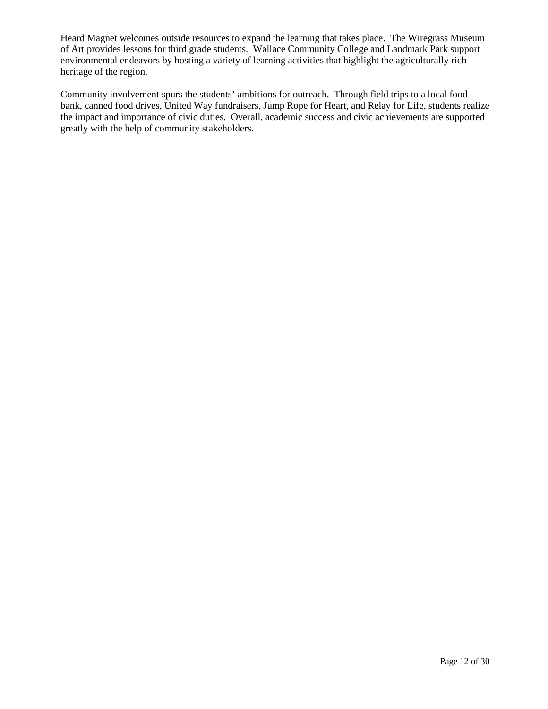Heard Magnet welcomes outside resources to expand the learning that takes place. The Wiregrass Museum of Art provides lessons for third grade students. Wallace Community College and Landmark Park support environmental endeavors by hosting a variety of learning activities that highlight the agriculturally rich heritage of the region.

Community involvement spurs the students' ambitions for outreach. Through field trips to a local food bank, canned food drives, United Way fundraisers, Jump Rope for Heart, and Relay for Life, students realize the impact and importance of civic duties. Overall, academic success and civic achievements are supported greatly with the help of community stakeholders.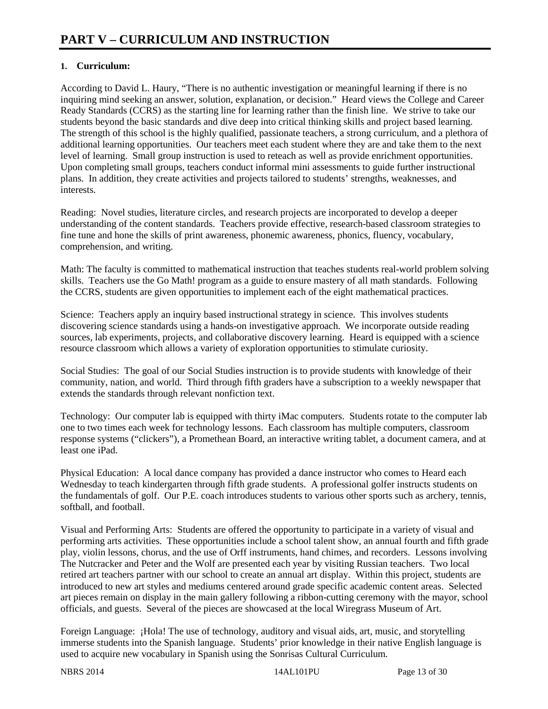### **1. Curriculum:**

According to David L. Haury, "There is no authentic investigation or meaningful learning if there is no inquiring mind seeking an answer, solution, explanation, or decision." Heard views the College and Career Ready Standards (CCRS) as the starting line for learning rather than the finish line. We strive to take our students beyond the basic standards and dive deep into critical thinking skills and project based learning. The strength of this school is the highly qualified, passionate teachers, a strong curriculum, and a plethora of additional learning opportunities. Our teachers meet each student where they are and take them to the next level of learning. Small group instruction is used to reteach as well as provide enrichment opportunities. Upon completing small groups, teachers conduct informal mini assessments to guide further instructional plans. In addition, they create activities and projects tailored to students' strengths, weaknesses, and interests.

Reading: Novel studies, literature circles, and research projects are incorporated to develop a deeper understanding of the content standards. Teachers provide effective, research-based classroom strategies to fine tune and hone the skills of print awareness, phonemic awareness, phonics, fluency, vocabulary, comprehension, and writing.

Math: The faculty is committed to mathematical instruction that teaches students real-world problem solving skills. Teachers use the Go Math! program as a guide to ensure mastery of all math standards. Following the CCRS, students are given opportunities to implement each of the eight mathematical practices.

Science: Teachers apply an inquiry based instructional strategy in science. This involves students discovering science standards using a hands-on investigative approach. We incorporate outside reading sources, lab experiments, projects, and collaborative discovery learning. Heard is equipped with a science resource classroom which allows a variety of exploration opportunities to stimulate curiosity.

Social Studies: The goal of our Social Studies instruction is to provide students with knowledge of their community, nation, and world. Third through fifth graders have a subscription to a weekly newspaper that extends the standards through relevant nonfiction text.

Technology: Our computer lab is equipped with thirty iMac computers. Students rotate to the computer lab one to two times each week for technology lessons. Each classroom has multiple computers, classroom response systems ("clickers"), a Promethean Board, an interactive writing tablet, a document camera, and at least one iPad.

Physical Education: A local dance company has provided a dance instructor who comes to Heard each Wednesday to teach kindergarten through fifth grade students. A professional golfer instructs students on the fundamentals of golf. Our P.E. coach introduces students to various other sports such as archery, tennis, softball, and football.

Visual and Performing Arts: Students are offered the opportunity to participate in a variety of visual and performing arts activities. These opportunities include a school talent show, an annual fourth and fifth grade play, violin lessons, chorus, and the use of Orff instruments, hand chimes, and recorders. Lessons involving The Nutcracker and Peter and the Wolf are presented each year by visiting Russian teachers. Two local retired art teachers partner with our school to create an annual art display. Within this project, students are introduced to new art styles and mediums centered around grade specific academic content areas. Selected art pieces remain on display in the main gallery following a ribbon-cutting ceremony with the mayor, school officials, and guests. Several of the pieces are showcased at the local Wiregrass Museum of Art.

Foreign Language: ¡Hola! The use of technology, auditory and visual aids, art, music, and storytelling immerse students into the Spanish language. Students' prior knowledge in their native English language is used to acquire new vocabulary in Spanish using the Sonrisas Cultural Curriculum.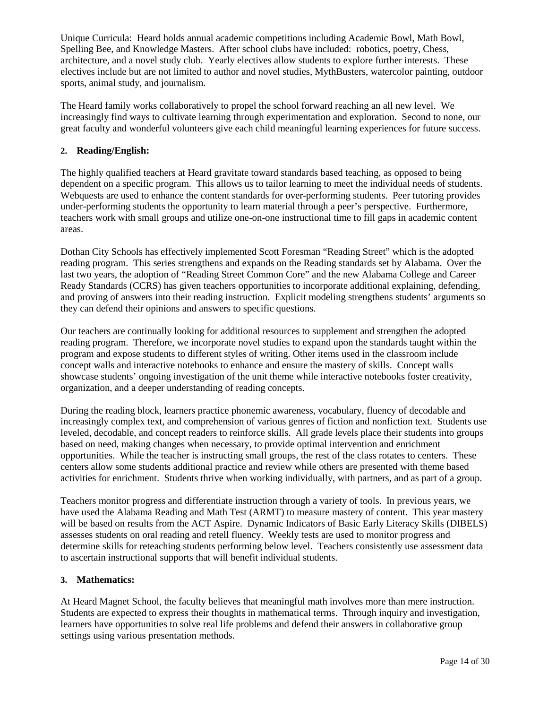Unique Curricula: Heard holds annual academic competitions including Academic Bowl, Math Bowl, Spelling Bee, and Knowledge Masters. After school clubs have included: robotics, poetry, Chess, architecture, and a novel study club. Yearly electives allow students to explore further interests. These electives include but are not limited to author and novel studies, MythBusters, watercolor painting, outdoor sports, animal study, and journalism.

The Heard family works collaboratively to propel the school forward reaching an all new level. We increasingly find ways to cultivate learning through experimentation and exploration. Second to none, our great faculty and wonderful volunteers give each child meaningful learning experiences for future success.

#### **2. Reading/English:**

The highly qualified teachers at Heard gravitate toward standards based teaching, as opposed to being dependent on a specific program. This allows us to tailor learning to meet the individual needs of students. Webquests are used to enhance the content standards for over-performing students. Peer tutoring provides under-performing students the opportunity to learn material through a peer's perspective. Furthermore, teachers work with small groups and utilize one-on-one instructional time to fill gaps in academic content areas.

Dothan City Schools has effectively implemented Scott Foresman "Reading Street" which is the adopted reading program. This series strengthens and expands on the Reading standards set by Alabama. Over the last two years, the adoption of "Reading Street Common Core" and the new Alabama College and Career Ready Standards (CCRS) has given teachers opportunities to incorporate additional explaining, defending, and proving of answers into their reading instruction. Explicit modeling strengthens students' arguments so they can defend their opinions and answers to specific questions.

Our teachers are continually looking for additional resources to supplement and strengthen the adopted reading program. Therefore, we incorporate novel studies to expand upon the standards taught within the program and expose students to different styles of writing. Other items used in the classroom include concept walls and interactive notebooks to enhance and ensure the mastery of skills. Concept walls showcase students' ongoing investigation of the unit theme while interactive notebooks foster creativity, organization, and a deeper understanding of reading concepts.

During the reading block, learners practice phonemic awareness, vocabulary, fluency of decodable and increasingly complex text, and comprehension of various genres of fiction and nonfiction text. Students use leveled, decodable, and concept readers to reinforce skills. All grade levels place their students into groups based on need, making changes when necessary, to provide optimal intervention and enrichment opportunities. While the teacher is instructing small groups, the rest of the class rotates to centers. These centers allow some students additional practice and review while others are presented with theme based activities for enrichment. Students thrive when working individually, with partners, and as part of a group.

Teachers monitor progress and differentiate instruction through a variety of tools. In previous years, we have used the Alabama Reading and Math Test (ARMT) to measure mastery of content. This year mastery will be based on results from the ACT Aspire. Dynamic Indicators of Basic Early Literacy Skills (DIBELS) assesses students on oral reading and retell fluency. Weekly tests are used to monitor progress and determine skills for reteaching students performing below level. Teachers consistently use assessment data to ascertain instructional supports that will benefit individual students.

#### **3. Mathematics:**

At Heard Magnet School, the faculty believes that meaningful math involves more than mere instruction. Students are expected to express their thoughts in mathematical terms. Through inquiry and investigation, learners have opportunities to solve real life problems and defend their answers in collaborative group settings using various presentation methods.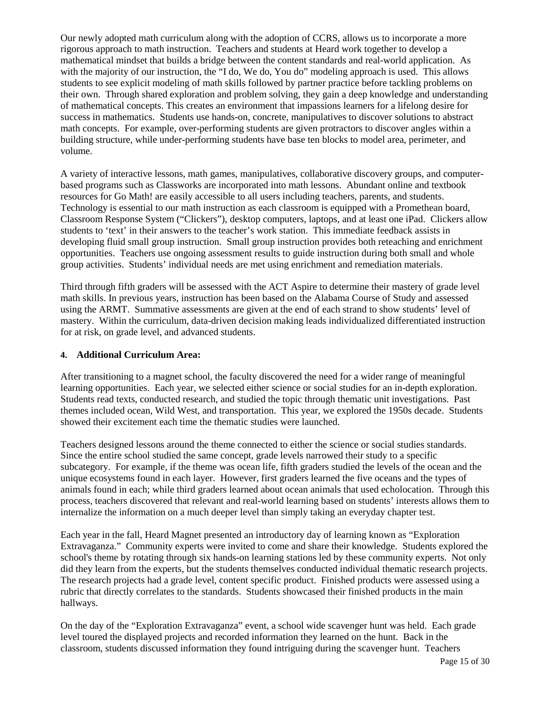Our newly adopted math curriculum along with the adoption of CCRS, allows us to incorporate a more rigorous approach to math instruction. Teachers and students at Heard work together to develop a mathematical mindset that builds a bridge between the content standards and real-world application. As with the majority of our instruction, the "I do, We do, You do" modeling approach is used. This allows students to see explicit modeling of math skills followed by partner practice before tackling problems on their own. Through shared exploration and problem solving, they gain a deep knowledge and understanding of mathematical concepts. This creates an environment that impassions learners for a lifelong desire for success in mathematics. Students use hands-on, concrete, manipulatives to discover solutions to abstract math concepts. For example, over-performing students are given protractors to discover angles within a building structure, while under-performing students have base ten blocks to model area, perimeter, and volume.

A variety of interactive lessons, math games, manipulatives, collaborative discovery groups, and computerbased programs such as Classworks are incorporated into math lessons. Abundant online and textbook resources for Go Math! are easily accessible to all users including teachers, parents, and students. Technology is essential to our math instruction as each classroom is equipped with a Promethean board, Classroom Response System ("Clickers"), desktop computers, laptops, and at least one iPad. Clickers allow students to 'text' in their answers to the teacher's work station. This immediate feedback assists in developing fluid small group instruction. Small group instruction provides both reteaching and enrichment opportunities. Teachers use ongoing assessment results to guide instruction during both small and whole group activities. Students' individual needs are met using enrichment and remediation materials.

Third through fifth graders will be assessed with the ACT Aspire to determine their mastery of grade level math skills. In previous years, instruction has been based on the Alabama Course of Study and assessed using the ARMT. Summative assessments are given at the end of each strand to show students' level of mastery. Within the curriculum, data-driven decision making leads individualized differentiated instruction for at risk, on grade level, and advanced students.

#### **4. Additional Curriculum Area:**

After transitioning to a magnet school, the faculty discovered the need for a wider range of meaningful learning opportunities. Each year, we selected either science or social studies for an in-depth exploration. Students read texts, conducted research, and studied the topic through thematic unit investigations. Past themes included ocean, Wild West, and transportation. This year, we explored the 1950s decade. Students showed their excitement each time the thematic studies were launched.

Teachers designed lessons around the theme connected to either the science or social studies standards. Since the entire school studied the same concept, grade levels narrowed their study to a specific subcategory. For example, if the theme was ocean life, fifth graders studied the levels of the ocean and the unique ecosystems found in each layer. However, first graders learned the five oceans and the types of animals found in each; while third graders learned about ocean animals that used echolocation. Through this process, teachers discovered that relevant and real-world learning based on students' interests allows them to internalize the information on a much deeper level than simply taking an everyday chapter test.

Each year in the fall, Heard Magnet presented an introductory day of learning known as "Exploration Extravaganza." Community experts were invited to come and share their knowledge. Students explored the school's theme by rotating through six hands-on learning stations led by these community experts. Not only did they learn from the experts, but the students themselves conducted individual thematic research projects. The research projects had a grade level, content specific product. Finished products were assessed using a rubric that directly correlates to the standards. Students showcased their finished products in the main hallways.

On the day of the "Exploration Extravaganza" event, a school wide scavenger hunt was held. Each grade level toured the displayed projects and recorded information they learned on the hunt. Back in the classroom, students discussed information they found intriguing during the scavenger hunt. Teachers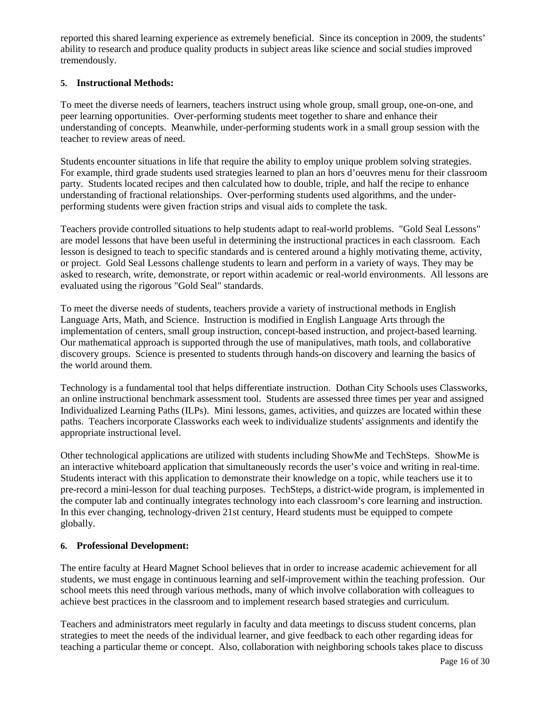reported this shared learning experience as extremely beneficial. Since its conception in 2009, the students' ability to research and produce quality products in subject areas like science and social studies improved tremendously.

#### **5. Instructional Methods:**

To meet the diverse needs of learners, teachers instruct using whole group, small group, one-on-one, and peer learning opportunities. Over-performing students meet together to share and enhance their understanding of concepts. Meanwhile, under-performing students work in a small group session with the teacher to review areas of need.

Students encounter situations in life that require the ability to employ unique problem solving strategies. For example, third grade students used strategies learned to plan an hors d'oeuvres menu for their classroom party. Students located recipes and then calculated how to double, triple, and half the recipe to enhance understanding of fractional relationships. Over-performing students used algorithms, and the underperforming students were given fraction strips and visual aids to complete the task.

Teachers provide controlled situations to help students adapt to real-world problems. "Gold Seal Lessons" are model lessons that have been useful in determining the instructional practices in each classroom. Each lesson is designed to teach to specific standards and is centered around a highly motivating theme, activity, or project. Gold Seal Lessons challenge students to learn and perform in a variety of ways. They may be asked to research, write, demonstrate, or report within academic or real-world environments. All lessons are evaluated using the rigorous "Gold Seal" standards.

To meet the diverse needs of students, teachers provide a variety of instructional methods in English Language Arts, Math, and Science. Instruction is modified in English Language Arts through the implementation of centers, small group instruction, concept-based instruction, and project-based learning. Our mathematical approach is supported through the use of manipulatives, math tools, and collaborative discovery groups. Science is presented to students through hands-on discovery and learning the basics of the world around them.

Technology is a fundamental tool that helps differentiate instruction. Dothan City Schools uses Classworks, an online instructional benchmark assessment tool. Students are assessed three times per year and assigned Individualized Learning Paths (ILPs). Mini lessons, games, activities, and quizzes are located within these paths. Teachers incorporate Classworks each week to individualize students' assignments and identify the appropriate instructional level.

Other technological applications are utilized with students including ShowMe and TechSteps. ShowMe is an interactive whiteboard application that simultaneously records the user's voice and writing in real-time. Students interact with this application to demonstrate their knowledge on a topic, while teachers use it to pre-record a mini-lesson for dual teaching purposes. TechSteps, a district-wide program, is implemented in the computer lab and continually integrates technology into each classroom's core learning and instruction. In this ever changing, technology-driven 21st century, Heard students must be equipped to compete globally.

### **6. Professional Development:**

The entire faculty at Heard Magnet School believes that in order to increase academic achievement for all students, we must engage in continuous learning and self-improvement within the teaching profession. Our school meets this need through various methods, many of which involve collaboration with colleagues to achieve best practices in the classroom and to implement research based strategies and curriculum.

Teachers and administrators meet regularly in faculty and data meetings to discuss student concerns, plan strategies to meet the needs of the individual learner, and give feedback to each other regarding ideas for teaching a particular theme or concept. Also, collaboration with neighboring schools takes place to discuss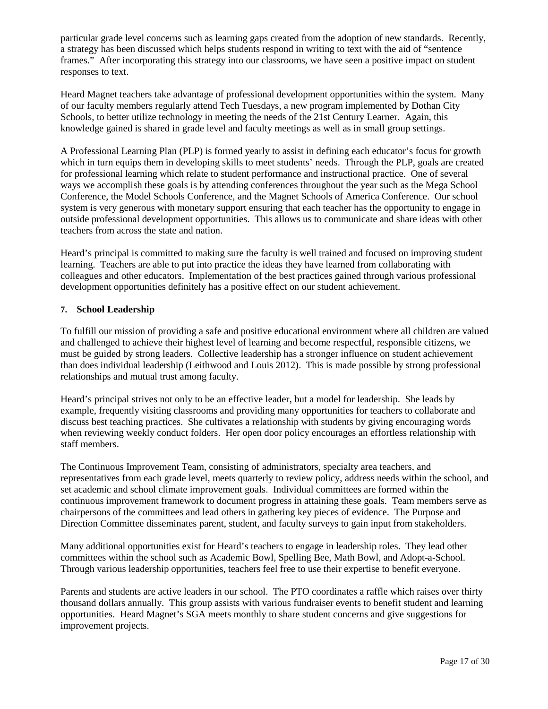particular grade level concerns such as learning gaps created from the adoption of new standards. Recently, a strategy has been discussed which helps students respond in writing to text with the aid of "sentence frames." After incorporating this strategy into our classrooms, we have seen a positive impact on student responses to text.

Heard Magnet teachers take advantage of professional development opportunities within the system. Many of our faculty members regularly attend Tech Tuesdays, a new program implemented by Dothan City Schools, to better utilize technology in meeting the needs of the 21st Century Learner. Again, this knowledge gained is shared in grade level and faculty meetings as well as in small group settings.

A Professional Learning Plan (PLP) is formed yearly to assist in defining each educator's focus for growth which in turn equips them in developing skills to meet students' needs. Through the PLP, goals are created for professional learning which relate to student performance and instructional practice. One of several ways we accomplish these goals is by attending conferences throughout the year such as the Mega School Conference, the Model Schools Conference, and the Magnet Schools of America Conference. Our school system is very generous with monetary support ensuring that each teacher has the opportunity to engage in outside professional development opportunities. This allows us to communicate and share ideas with other teachers from across the state and nation.

Heard's principal is committed to making sure the faculty is well trained and focused on improving student learning. Teachers are able to put into practice the ideas they have learned from collaborating with colleagues and other educators. Implementation of the best practices gained through various professional development opportunities definitely has a positive effect on our student achievement.

#### **7. School Leadership**

To fulfill our mission of providing a safe and positive educational environment where all children are valued and challenged to achieve their highest level of learning and become respectful, responsible citizens, we must be guided by strong leaders. Collective leadership has a stronger influence on student achievement than does individual leadership (Leithwood and Louis 2012). This is made possible by strong professional relationships and mutual trust among faculty.

Heard's principal strives not only to be an effective leader, but a model for leadership. She leads by example, frequently visiting classrooms and providing many opportunities for teachers to collaborate and discuss best teaching practices. She cultivates a relationship with students by giving encouraging words when reviewing weekly conduct folders. Her open door policy encourages an effortless relationship with staff members.

The Continuous Improvement Team, consisting of administrators, specialty area teachers, and representatives from each grade level, meets quarterly to review policy, address needs within the school, and set academic and school climate improvement goals. Individual committees are formed within the continuous improvement framework to document progress in attaining these goals. Team members serve as chairpersons of the committees and lead others in gathering key pieces of evidence. The Purpose and Direction Committee disseminates parent, student, and faculty surveys to gain input from stakeholders.

Many additional opportunities exist for Heard's teachers to engage in leadership roles. They lead other committees within the school such as Academic Bowl, Spelling Bee, Math Bowl, and Adopt-a-School. Through various leadership opportunities, teachers feel free to use their expertise to benefit everyone.

Parents and students are active leaders in our school. The PTO coordinates a raffle which raises over thirty thousand dollars annually. This group assists with various fundraiser events to benefit student and learning opportunities. Heard Magnet's SGA meets monthly to share student concerns and give suggestions for improvement projects.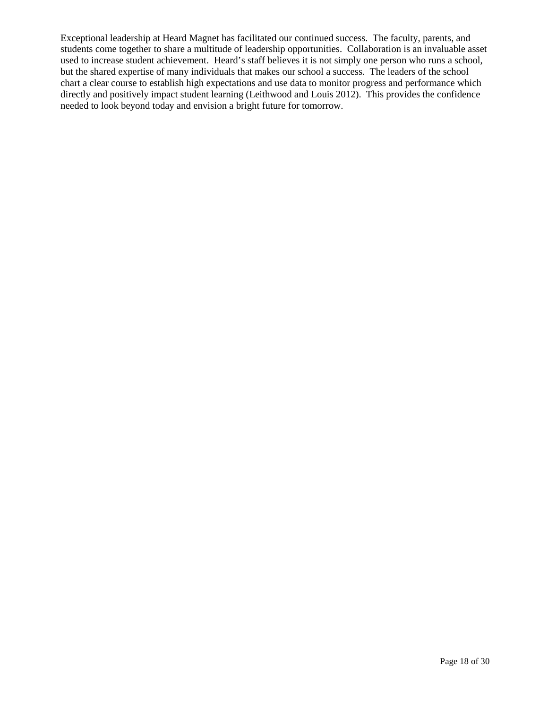Exceptional leadership at Heard Magnet has facilitated our continued success. The faculty, parents, and students come together to share a multitude of leadership opportunities. Collaboration is an invaluable asset used to increase student achievement. Heard's staff believes it is not simply one person who runs a school, but the shared expertise of many individuals that makes our school a success. The leaders of the school chart a clear course to establish high expectations and use data to monitor progress and performance which directly and positively impact student learning (Leithwood and Louis 2012). This provides the confidence needed to look beyond today and envision a bright future for tomorrow.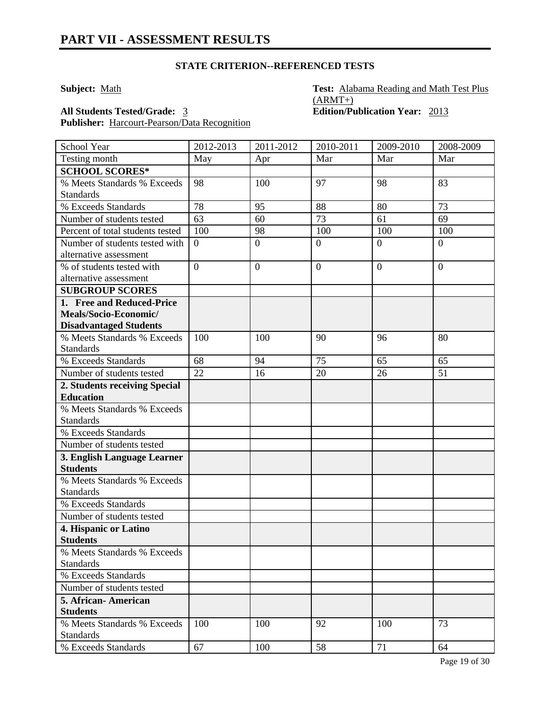**Subject:** Math **Test: Alabama Reading and Math Test Plus**  $(ARMT+)$ **All Students Tested/Grade:** 3 **Edition/Publication Year:** 2013

**Publisher:** Harcourt-Pearson/Data Recognition

School Year 2012-2013 2011-2012 2010-2011 2009-2010 2008-2009 Testing month May Apr Mar Mar Mar Mar **SCHOOL SCORES\*** % Meets Standards % Exceeds Standards 98 | 100 | 97 | 98 | 83 % Exceeds Standards 78 95 88 80 73 Number of students tested  $\begin{bmatrix} 63 \\ 63 \end{bmatrix}$  60  $\begin{bmatrix} 73 \\ 1 \end{bmatrix}$  61  $\begin{bmatrix} 69 \\ 69 \end{bmatrix}$ Percent of total students tested | 100 | 98 | 100 | 100 | 100 | 100 Number of students tested with alternative assessment  $0 \qquad \qquad 0 \qquad \qquad 0 \qquad \qquad 0$ % of students tested with alternative assessment  $0 \qquad \qquad 0 \qquad \qquad 0 \qquad \qquad 0$ **SUBGROUP SCORES 1. Free and Reduced-Price Meals/Socio-Economic/ Disadvantaged Students** % Meets Standards % Exceeds **Standards** 100 | 100 | 90 | 96 | 80 % Exceeds Standards 68 94 75 65 65 Number of students tested 22 16 20 26 51 **2. Students receiving Special Education** % Meets Standards % Exceeds **Standards** % Exceeds Standards Number of students tested **3. English Language Learner Students** % Meets Standards % Exceeds **Standards** % Exceeds Standards Number of students tested **4. Hispanic or Latino Students** % Meets Standards % Exceeds **Standards** % Exceeds Standards Number of students tested **5. African- American Students** % Meets Standards % Exceeds **Standards** 100 100 92 100 73 % Exceeds Standards 67 100 58 71 64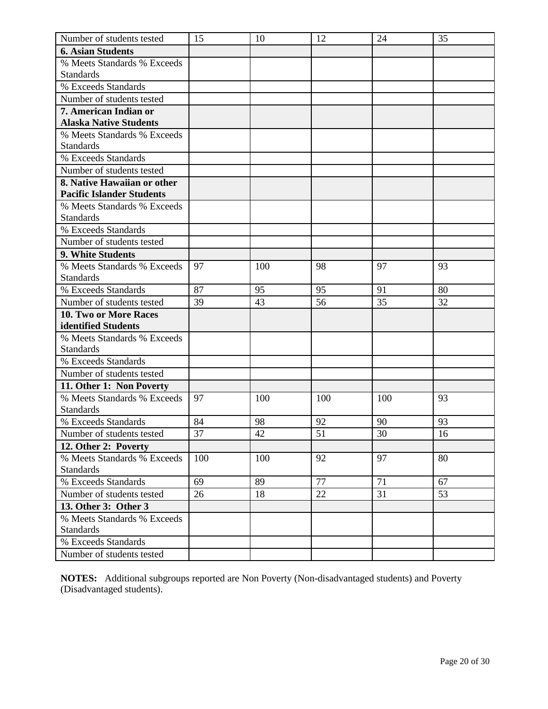| Number of students tested                       | 15              | 10  | 12  | 24  | 35 |
|-------------------------------------------------|-----------------|-----|-----|-----|----|
| <b>6. Asian Students</b>                        |                 |     |     |     |    |
| % Meets Standards % Exceeds                     |                 |     |     |     |    |
| <b>Standards</b>                                |                 |     |     |     |    |
| % Exceeds Standards                             |                 |     |     |     |    |
| Number of students tested                       |                 |     |     |     |    |
| 7. American Indian or                           |                 |     |     |     |    |
| <b>Alaska Native Students</b>                   |                 |     |     |     |    |
| % Meets Standards % Exceeds                     |                 |     |     |     |    |
| <b>Standards</b>                                |                 |     |     |     |    |
| % Exceeds Standards                             |                 |     |     |     |    |
| Number of students tested                       |                 |     |     |     |    |
| 8. Native Hawaiian or other                     |                 |     |     |     |    |
| <b>Pacific Islander Students</b>                |                 |     |     |     |    |
| % Meets Standards % Exceeds                     |                 |     |     |     |    |
| <b>Standards</b>                                |                 |     |     |     |    |
| % Exceeds Standards                             |                 |     |     |     |    |
| Number of students tested                       |                 |     |     |     |    |
| 9. White Students                               |                 |     |     |     |    |
| % Meets Standards % Exceeds                     | 97              | 100 | 98  | 97  | 93 |
| <b>Standards</b>                                |                 |     |     |     |    |
| % Exceeds Standards                             | 87              | 95  | 95  | 91  | 80 |
| Number of students tested                       | 39              | 43  | 56  | 35  | 32 |
| 10. Two or More Races                           |                 |     |     |     |    |
| identified Students                             |                 |     |     |     |    |
| % Meets Standards % Exceeds                     |                 |     |     |     |    |
| <b>Standards</b>                                |                 |     |     |     |    |
| % Exceeds Standards                             |                 |     |     |     |    |
| Number of students tested                       |                 |     |     |     |    |
| 11. Other 1: Non Poverty                        |                 |     |     |     |    |
| % Meets Standards % Exceeds<br><b>Standards</b> | 97              | 100 | 100 | 100 | 93 |
| % Exceeds Standards                             | 84              | 98  | 92  | 90  | 93 |
| Number of students tested                       | $\overline{37}$ | 42  | 51  | 30  | 16 |
| 12. Other 2: Poverty                            |                 |     |     |     |    |
| % Meets Standards % Exceeds                     | 100             | 100 | 92  | 97  | 80 |
| <b>Standards</b>                                |                 |     |     |     |    |
| % Exceeds Standards                             | 69              | 89  | 77  | 71  | 67 |
| Number of students tested                       | 26              | 18  | 22  | 31  | 53 |
| 13. Other 3: Other 3                            |                 |     |     |     |    |
| % Meets Standards % Exceeds                     |                 |     |     |     |    |
| <b>Standards</b>                                |                 |     |     |     |    |
| % Exceeds Standards                             |                 |     |     |     |    |
| Number of students tested                       |                 |     |     |     |    |

**NOTES:** Additional subgroups reported are Non Poverty (Non-disadvantaged students) and Poverty (Disadvantaged students).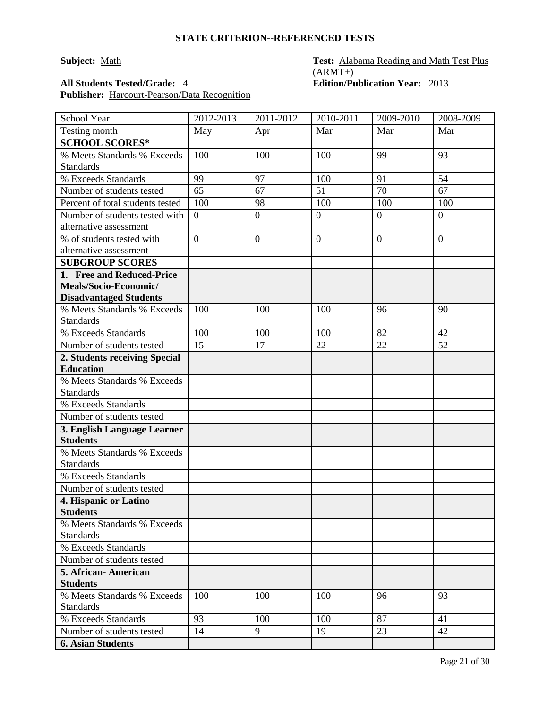### **Subject:** Math **Test: Math Test: Alabama Reading and Math Test Plus**  $(ARMT+)$ **All Students Tested/Grade:** 4 **Edition/Publication Year:** 2013

**Publisher:** Harcourt-Pearson/Data Recognition

| School Year                                       | 2012-2013      | 2011-2012      | 2010-2011        | 2009-2010      | 2008-2009      |
|---------------------------------------------------|----------------|----------------|------------------|----------------|----------------|
| Testing month                                     | May            | Apr            | Mar              | Mar            | Mar            |
| <b>SCHOOL SCORES*</b>                             |                |                |                  |                |                |
| % Meets Standards % Exceeds                       | 100            | 100            | 100              | 99             | 93             |
| <b>Standards</b>                                  |                |                |                  |                |                |
| % Exceeds Standards                               | 99             | 97             | 100              | 91             | 54             |
| Number of students tested                         | 65             | 67             | 51               | 70             | 67             |
| Percent of total students tested                  | 100            | 98             | 100              | 100            | 100            |
| Number of students tested with                    | $\overline{0}$ | $\overline{0}$ | $\boldsymbol{0}$ | $\overline{0}$ | $\overline{0}$ |
| alternative assessment                            |                |                |                  |                |                |
| % of students tested with                         | $\overline{0}$ | $\overline{0}$ | $\boldsymbol{0}$ | $\overline{0}$ | $\overline{0}$ |
| alternative assessment                            |                |                |                  |                |                |
| <b>SUBGROUP SCORES</b>                            |                |                |                  |                |                |
| 1. Free and Reduced-Price                         |                |                |                  |                |                |
| Meals/Socio-Economic/                             |                |                |                  |                |                |
| <b>Disadvantaged Students</b>                     |                |                |                  |                |                |
| % Meets Standards % Exceeds                       | 100            | 100            | 100              | 96             | 90             |
| <b>Standards</b><br>% Exceeds Standards           | 100            | 100            | 100              | 82             | 42             |
| Number of students tested                         | 15             | 17             | 22               | 22             | 52             |
|                                                   |                |                |                  |                |                |
| 2. Students receiving Special<br><b>Education</b> |                |                |                  |                |                |
| % Meets Standards % Exceeds                       |                |                |                  |                |                |
| <b>Standards</b>                                  |                |                |                  |                |                |
| % Exceeds Standards                               |                |                |                  |                |                |
| Number of students tested                         |                |                |                  |                |                |
| 3. English Language Learner                       |                |                |                  |                |                |
| <b>Students</b>                                   |                |                |                  |                |                |
| % Meets Standards % Exceeds                       |                |                |                  |                |                |
| <b>Standards</b>                                  |                |                |                  |                |                |
| % Exceeds Standards                               |                |                |                  |                |                |
| Number of students tested                         |                |                |                  |                |                |
| 4. Hispanic or Latino                             |                |                |                  |                |                |
| <b>Students</b>                                   |                |                |                  |                |                |
| % Meets Standards % Exceeds                       |                |                |                  |                |                |
| <b>Standards</b>                                  |                |                |                  |                |                |
| % Exceeds Standards                               |                |                |                  |                |                |
| Number of students tested                         |                |                |                  |                |                |
| 5. African - American<br><b>Students</b>          |                |                |                  |                |                |
| % Meets Standards % Exceeds                       | 100            | 100            | 100              | 96             | 93             |
| <b>Standards</b>                                  |                |                |                  |                |                |
| % Exceeds Standards                               | 93             | 100            | 100              | 87             | 41             |
| Number of students tested                         | 14             | 9              | 19               | 23             | 42             |
| <b>6. Asian Students</b>                          |                |                |                  |                |                |
|                                                   |                |                |                  |                |                |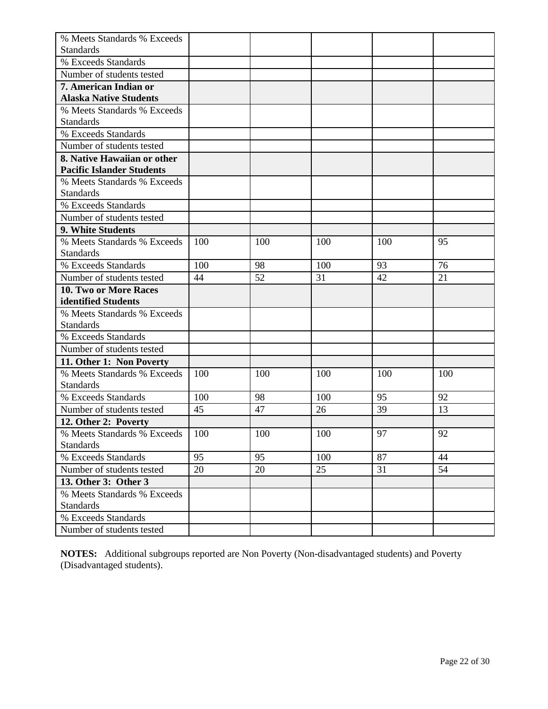| % Meets Standards % Exceeds      |     |     |     |     |     |
|----------------------------------|-----|-----|-----|-----|-----|
| <b>Standards</b>                 |     |     |     |     |     |
| % Exceeds Standards              |     |     |     |     |     |
| Number of students tested        |     |     |     |     |     |
| 7. American Indian or            |     |     |     |     |     |
| <b>Alaska Native Students</b>    |     |     |     |     |     |
| % Meets Standards % Exceeds      |     |     |     |     |     |
| <b>Standards</b>                 |     |     |     |     |     |
| % Exceeds Standards              |     |     |     |     |     |
| Number of students tested        |     |     |     |     |     |
| 8. Native Hawaiian or other      |     |     |     |     |     |
| <b>Pacific Islander Students</b> |     |     |     |     |     |
| % Meets Standards % Exceeds      |     |     |     |     |     |
| <b>Standards</b>                 |     |     |     |     |     |
| % Exceeds Standards              |     |     |     |     |     |
| Number of students tested        |     |     |     |     |     |
| 9. White Students                |     |     |     |     |     |
| % Meets Standards % Exceeds      | 100 | 100 | 100 | 100 | 95  |
| <b>Standards</b>                 |     |     |     |     |     |
| % Exceeds Standards              | 100 | 98  | 100 | 93  | 76  |
| Number of students tested        | 44  | 52  | 31  | 42  | 21  |
| 10. Two or More Races            |     |     |     |     |     |
| identified Students              |     |     |     |     |     |
| % Meets Standards % Exceeds      |     |     |     |     |     |
| <b>Standards</b>                 |     |     |     |     |     |
| % Exceeds Standards              |     |     |     |     |     |
| Number of students tested        |     |     |     |     |     |
| 11. Other 1: Non Poverty         |     |     |     |     |     |
| % Meets Standards % Exceeds      | 100 | 100 | 100 | 100 | 100 |
| <b>Standards</b>                 |     |     |     |     |     |
| % Exceeds Standards              | 100 | 98  | 100 | 95  | 92  |
| Number of students tested        | 45  | 47  | 26  | 39  | 13  |
| 12. Other 2: Poverty             |     |     |     |     |     |
| % Meets Standards % Exceeds      | 100 | 100 | 100 | 97  | 92  |
| <b>Standards</b>                 |     |     |     |     |     |
| % Exceeds Standards              | 95  | 95  | 100 | 87  | 44  |
| Number of students tested        | 20  | 20  | 25  | 31  | 54  |
| 13. Other 3: Other 3             |     |     |     |     |     |
| % Meets Standards % Exceeds      |     |     |     |     |     |
| <b>Standards</b>                 |     |     |     |     |     |
| % Exceeds Standards              |     |     |     |     |     |
| Number of students tested        |     |     |     |     |     |

**NOTES:** Additional subgroups reported are Non Poverty (Non-disadvantaged students) and Poverty (Disadvantaged students).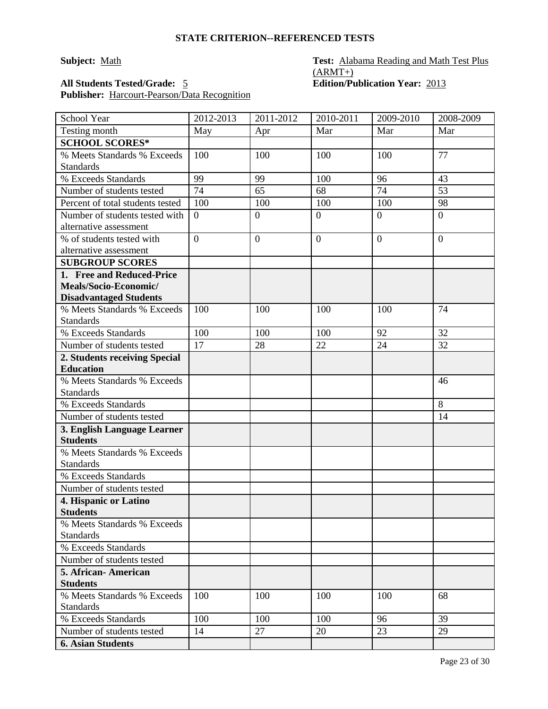### **Subject:** Math **Test: Math Test: Alabama Reading and Math Test Plus**  $(ARMT+)$ **All Students Tested/Grade:** 5 **Edition/Publication Year:** 2013

**Publisher:** Harcourt-Pearson/Data Recognition

| School Year                                       | 2012-2013       | 2011-2012        | 2010-2011      | 2009-2010      | 2008-2009      |
|---------------------------------------------------|-----------------|------------------|----------------|----------------|----------------|
| Testing month                                     | May             | Apr              | Mar            | Mar            | Mar            |
| <b>SCHOOL SCORES*</b>                             |                 |                  |                |                |                |
| % Meets Standards % Exceeds                       | 100             | 100              | 100            | 100            | 77             |
| <b>Standards</b>                                  |                 |                  |                |                |                |
| % Exceeds Standards                               | 99              | 99               | 100            | 96             | 43             |
| Number of students tested                         | $\overline{74}$ | 65               | 68             | 74             | 53             |
| Percent of total students tested                  | 100             | 100              | 100            | 100            | 98             |
| Number of students tested with                    | $\overline{0}$  | $\boldsymbol{0}$ | $\mathbf{0}$   | $\overline{0}$ | $\overline{0}$ |
| alternative assessment                            |                 |                  |                |                |                |
| % of students tested with                         | $\overline{0}$  | $\mathbf{0}$     | $\overline{0}$ | $\theta$       | $\overline{0}$ |
| alternative assessment                            |                 |                  |                |                |                |
| <b>SUBGROUP SCORES</b>                            |                 |                  |                |                |                |
| 1. Free and Reduced-Price                         |                 |                  |                |                |                |
| Meals/Socio-Economic/                             |                 |                  |                |                |                |
| <b>Disadvantaged Students</b>                     |                 |                  |                |                |                |
| % Meets Standards % Exceeds<br><b>Standards</b>   | 100             | 100              | 100            | 100            | 74             |
| % Exceeds Standards                               | 100             | 100              | 100            | 92             | 32             |
| Number of students tested                         | 17              | 28               | 22             | 24             | 32             |
|                                                   |                 |                  |                |                |                |
| 2. Students receiving Special<br><b>Education</b> |                 |                  |                |                |                |
| % Meets Standards % Exceeds                       |                 |                  |                |                | 46             |
| <b>Standards</b>                                  |                 |                  |                |                |                |
| % Exceeds Standards                               |                 |                  |                |                | 8              |
| Number of students tested                         |                 |                  |                |                | 14             |
| 3. English Language Learner                       |                 |                  |                |                |                |
| <b>Students</b>                                   |                 |                  |                |                |                |
| % Meets Standards % Exceeds                       |                 |                  |                |                |                |
| <b>Standards</b>                                  |                 |                  |                |                |                |
| % Exceeds Standards                               |                 |                  |                |                |                |
| Number of students tested                         |                 |                  |                |                |                |
| 4. Hispanic or Latino                             |                 |                  |                |                |                |
| <b>Students</b>                                   |                 |                  |                |                |                |
| % Meets Standards % Exceeds                       |                 |                  |                |                |                |
| <b>Standards</b>                                  |                 |                  |                |                |                |
| % Exceeds Standards                               |                 |                  |                |                |                |
| Number of students tested                         |                 |                  |                |                |                |
| 5. African - American                             |                 |                  |                |                |                |
| <b>Students</b>                                   |                 |                  |                |                |                |
| % Meets Standards % Exceeds                       | 100             | 100              | 100            | 100            | 68             |
| <b>Standards</b>                                  |                 |                  |                |                |                |
| % Exceeds Standards                               | 100             | 100              | 100            | 96             | 39             |
| Number of students tested                         | 14              | 27               | 20             | 23             | 29             |
| <b>6. Asian Students</b>                          |                 |                  |                |                |                |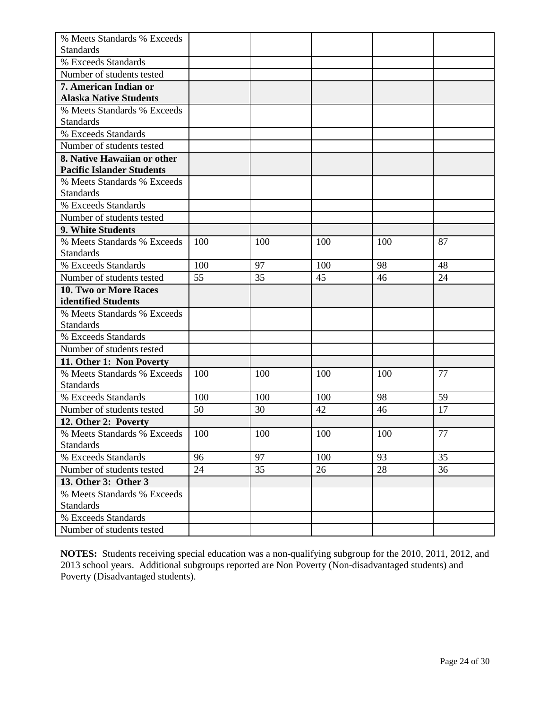| % Meets Standards % Exceeds      |     |     |     |     |        |
|----------------------------------|-----|-----|-----|-----|--------|
| <b>Standards</b>                 |     |     |     |     |        |
| % Exceeds Standards              |     |     |     |     |        |
| Number of students tested        |     |     |     |     |        |
| 7. American Indian or            |     |     |     |     |        |
| <b>Alaska Native Students</b>    |     |     |     |     |        |
| % Meets Standards % Exceeds      |     |     |     |     |        |
| <b>Standards</b>                 |     |     |     |     |        |
| % Exceeds Standards              |     |     |     |     |        |
| Number of students tested        |     |     |     |     |        |
| 8. Native Hawaiian or other      |     |     |     |     |        |
| <b>Pacific Islander Students</b> |     |     |     |     |        |
| % Meets Standards % Exceeds      |     |     |     |     |        |
| <b>Standards</b>                 |     |     |     |     |        |
| % Exceeds Standards              |     |     |     |     |        |
| Number of students tested        |     |     |     |     |        |
| 9. White Students                |     |     |     |     |        |
| % Meets Standards % Exceeds      | 100 | 100 | 100 | 100 | 87     |
| <b>Standards</b>                 |     |     |     |     |        |
| % Exceeds Standards              | 100 | 97  | 100 | 98  | 48     |
| Number of students tested        | 55  | 35  | 45  | 46  | 24     |
| 10. Two or More Races            |     |     |     |     |        |
| identified Students              |     |     |     |     |        |
| % Meets Standards % Exceeds      |     |     |     |     |        |
| <b>Standards</b>                 |     |     |     |     |        |
| % Exceeds Standards              |     |     |     |     |        |
| Number of students tested        |     |     |     |     |        |
| 11. Other 1: Non Poverty         |     |     |     |     |        |
| % Meets Standards % Exceeds      | 100 | 100 | 100 | 100 | 77     |
| <b>Standards</b>                 |     |     |     |     |        |
| % Exceeds Standards              | 100 | 100 | 100 | 98  | 59     |
| Number of students tested        | 50  | 30  | 42  | 46  | 17     |
| 12. Other 2: Poverty             |     |     |     |     |        |
| % Meets Standards % Exceeds      | 100 | 100 | 100 | 100 | $77\,$ |
| <b>Standards</b>                 |     |     |     |     |        |
| % Exceeds Standards              | 96  | 97  | 100 | 93  | 35     |
| Number of students tested        | 24  | 35  | 26  | 28  | 36     |
| 13. Other 3: Other 3             |     |     |     |     |        |
| % Meets Standards % Exceeds      |     |     |     |     |        |
| <b>Standards</b>                 |     |     |     |     |        |
| % Exceeds Standards              |     |     |     |     |        |
| Number of students tested        |     |     |     |     |        |

**NOTES:** Students receiving special education was a non-qualifying subgroup for the 2010, 2011, 2012, and 2013 school years. Additional subgroups reported are Non Poverty (Non-disadvantaged students) and Poverty (Disadvantaged students).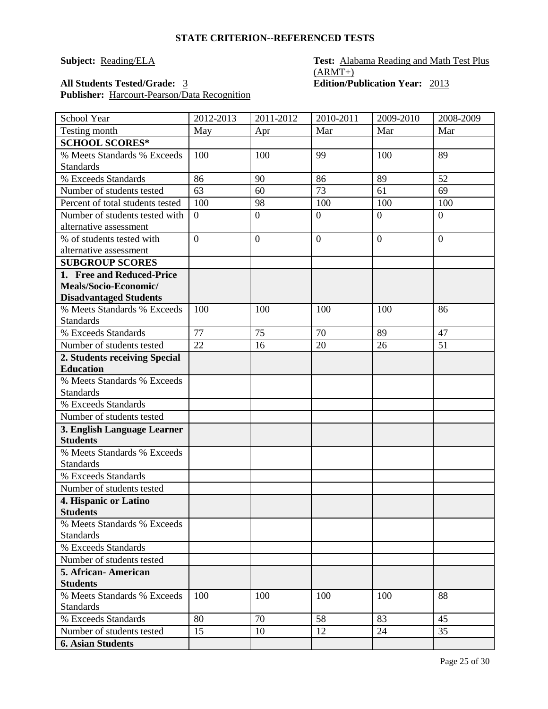### **Subject: Reading/ELA Test: Alabama Reading and Math Test Plus**  $(ARMT+)$ **All Students Tested/Grade:** 3 **Edition/Publication Year:** 2013

**Publisher:** Harcourt-Pearson/Data Recognition

| Mar<br>Mar<br>Testing month<br>Mar<br>May<br>Apr<br><b>SCHOOL SCORES*</b><br>% Meets Standards % Exceeds<br>100<br>89<br>100<br>99<br>100<br><b>Standards</b><br>89<br>52<br>% Exceeds Standards<br>86<br>90<br>86<br>63<br>73<br>Number of students tested<br>61<br>69<br>60<br>Percent of total students tested<br>100<br>100<br>100<br>98<br>100<br>Number of students tested with<br>$\overline{0}$<br>$\overline{0}$<br>$\overline{0}$<br>$\overline{0}$<br>$\overline{0}$<br>alternative assessment<br>% of students tested with<br>$\overline{0}$<br>$\boldsymbol{0}$<br>$\boldsymbol{0}$<br>$\boldsymbol{0}$<br>$\boldsymbol{0}$<br>alternative assessment<br><b>SUBGROUP SCORES</b><br>1. Free and Reduced-Price<br>Meals/Socio-Economic/<br><b>Disadvantaged Students</b><br>% Meets Standards % Exceeds<br>100<br>100<br>100<br>100<br>86<br><b>Standards</b><br>77<br>75<br>89<br>% Exceeds Standards<br>70<br>47<br>51<br>Number of students tested<br>22<br>16<br>20<br>26<br>2. Students receiving Special<br><b>Education</b><br>% Meets Standards % Exceeds<br><b>Standards</b><br>% Exceeds Standards<br>Number of students tested<br>3. English Language Learner<br><b>Students</b><br>% Meets Standards % Exceeds<br><b>Standards</b><br>% Exceeds Standards<br>Number of students tested<br>4. Hispanic or Latino<br><b>Students</b><br>% Meets Standards % Exceeds<br><b>Standards</b><br>% Exceeds Standards<br>Number of students tested<br>5. African - American<br><b>Students</b><br>100<br>88<br>% Meets Standards % Exceeds<br>100<br>100<br>100<br><b>Standards</b><br>80<br>70<br>58<br>83<br>45<br>% Exceeds Standards<br>Number of students tested<br>12<br>24<br>35<br>15<br>10 | <b>School Year</b>       | 2012-2013 | 2011-2012 | 2010-2011 | 2009-2010 | 2008-2009 |
|-------------------------------------------------------------------------------------------------------------------------------------------------------------------------------------------------------------------------------------------------------------------------------------------------------------------------------------------------------------------------------------------------------------------------------------------------------------------------------------------------------------------------------------------------------------------------------------------------------------------------------------------------------------------------------------------------------------------------------------------------------------------------------------------------------------------------------------------------------------------------------------------------------------------------------------------------------------------------------------------------------------------------------------------------------------------------------------------------------------------------------------------------------------------------------------------------------------------------------------------------------------------------------------------------------------------------------------------------------------------------------------------------------------------------------------------------------------------------------------------------------------------------------------------------------------------------------------------------------------------------------------------------------------------------------------------------------------------|--------------------------|-----------|-----------|-----------|-----------|-----------|
|                                                                                                                                                                                                                                                                                                                                                                                                                                                                                                                                                                                                                                                                                                                                                                                                                                                                                                                                                                                                                                                                                                                                                                                                                                                                                                                                                                                                                                                                                                                                                                                                                                                                                                                   |                          |           |           |           |           |           |
|                                                                                                                                                                                                                                                                                                                                                                                                                                                                                                                                                                                                                                                                                                                                                                                                                                                                                                                                                                                                                                                                                                                                                                                                                                                                                                                                                                                                                                                                                                                                                                                                                                                                                                                   |                          |           |           |           |           |           |
|                                                                                                                                                                                                                                                                                                                                                                                                                                                                                                                                                                                                                                                                                                                                                                                                                                                                                                                                                                                                                                                                                                                                                                                                                                                                                                                                                                                                                                                                                                                                                                                                                                                                                                                   |                          |           |           |           |           |           |
|                                                                                                                                                                                                                                                                                                                                                                                                                                                                                                                                                                                                                                                                                                                                                                                                                                                                                                                                                                                                                                                                                                                                                                                                                                                                                                                                                                                                                                                                                                                                                                                                                                                                                                                   |                          |           |           |           |           |           |
|                                                                                                                                                                                                                                                                                                                                                                                                                                                                                                                                                                                                                                                                                                                                                                                                                                                                                                                                                                                                                                                                                                                                                                                                                                                                                                                                                                                                                                                                                                                                                                                                                                                                                                                   |                          |           |           |           |           |           |
|                                                                                                                                                                                                                                                                                                                                                                                                                                                                                                                                                                                                                                                                                                                                                                                                                                                                                                                                                                                                                                                                                                                                                                                                                                                                                                                                                                                                                                                                                                                                                                                                                                                                                                                   |                          |           |           |           |           |           |
|                                                                                                                                                                                                                                                                                                                                                                                                                                                                                                                                                                                                                                                                                                                                                                                                                                                                                                                                                                                                                                                                                                                                                                                                                                                                                                                                                                                                                                                                                                                                                                                                                                                                                                                   |                          |           |           |           |           |           |
|                                                                                                                                                                                                                                                                                                                                                                                                                                                                                                                                                                                                                                                                                                                                                                                                                                                                                                                                                                                                                                                                                                                                                                                                                                                                                                                                                                                                                                                                                                                                                                                                                                                                                                                   |                          |           |           |           |           |           |
|                                                                                                                                                                                                                                                                                                                                                                                                                                                                                                                                                                                                                                                                                                                                                                                                                                                                                                                                                                                                                                                                                                                                                                                                                                                                                                                                                                                                                                                                                                                                                                                                                                                                                                                   |                          |           |           |           |           |           |
|                                                                                                                                                                                                                                                                                                                                                                                                                                                                                                                                                                                                                                                                                                                                                                                                                                                                                                                                                                                                                                                                                                                                                                                                                                                                                                                                                                                                                                                                                                                                                                                                                                                                                                                   |                          |           |           |           |           |           |
|                                                                                                                                                                                                                                                                                                                                                                                                                                                                                                                                                                                                                                                                                                                                                                                                                                                                                                                                                                                                                                                                                                                                                                                                                                                                                                                                                                                                                                                                                                                                                                                                                                                                                                                   |                          |           |           |           |           |           |
|                                                                                                                                                                                                                                                                                                                                                                                                                                                                                                                                                                                                                                                                                                                                                                                                                                                                                                                                                                                                                                                                                                                                                                                                                                                                                                                                                                                                                                                                                                                                                                                                                                                                                                                   |                          |           |           |           |           |           |
|                                                                                                                                                                                                                                                                                                                                                                                                                                                                                                                                                                                                                                                                                                                                                                                                                                                                                                                                                                                                                                                                                                                                                                                                                                                                                                                                                                                                                                                                                                                                                                                                                                                                                                                   |                          |           |           |           |           |           |
|                                                                                                                                                                                                                                                                                                                                                                                                                                                                                                                                                                                                                                                                                                                                                                                                                                                                                                                                                                                                                                                                                                                                                                                                                                                                                                                                                                                                                                                                                                                                                                                                                                                                                                                   |                          |           |           |           |           |           |
|                                                                                                                                                                                                                                                                                                                                                                                                                                                                                                                                                                                                                                                                                                                                                                                                                                                                                                                                                                                                                                                                                                                                                                                                                                                                                                                                                                                                                                                                                                                                                                                                                                                                                                                   |                          |           |           |           |           |           |
|                                                                                                                                                                                                                                                                                                                                                                                                                                                                                                                                                                                                                                                                                                                                                                                                                                                                                                                                                                                                                                                                                                                                                                                                                                                                                                                                                                                                                                                                                                                                                                                                                                                                                                                   |                          |           |           |           |           |           |
|                                                                                                                                                                                                                                                                                                                                                                                                                                                                                                                                                                                                                                                                                                                                                                                                                                                                                                                                                                                                                                                                                                                                                                                                                                                                                                                                                                                                                                                                                                                                                                                                                                                                                                                   |                          |           |           |           |           |           |
|                                                                                                                                                                                                                                                                                                                                                                                                                                                                                                                                                                                                                                                                                                                                                                                                                                                                                                                                                                                                                                                                                                                                                                                                                                                                                                                                                                                                                                                                                                                                                                                                                                                                                                                   |                          |           |           |           |           |           |
|                                                                                                                                                                                                                                                                                                                                                                                                                                                                                                                                                                                                                                                                                                                                                                                                                                                                                                                                                                                                                                                                                                                                                                                                                                                                                                                                                                                                                                                                                                                                                                                                                                                                                                                   |                          |           |           |           |           |           |
|                                                                                                                                                                                                                                                                                                                                                                                                                                                                                                                                                                                                                                                                                                                                                                                                                                                                                                                                                                                                                                                                                                                                                                                                                                                                                                                                                                                                                                                                                                                                                                                                                                                                                                                   |                          |           |           |           |           |           |
|                                                                                                                                                                                                                                                                                                                                                                                                                                                                                                                                                                                                                                                                                                                                                                                                                                                                                                                                                                                                                                                                                                                                                                                                                                                                                                                                                                                                                                                                                                                                                                                                                                                                                                                   |                          |           |           |           |           |           |
|                                                                                                                                                                                                                                                                                                                                                                                                                                                                                                                                                                                                                                                                                                                                                                                                                                                                                                                                                                                                                                                                                                                                                                                                                                                                                                                                                                                                                                                                                                                                                                                                                                                                                                                   |                          |           |           |           |           |           |
|                                                                                                                                                                                                                                                                                                                                                                                                                                                                                                                                                                                                                                                                                                                                                                                                                                                                                                                                                                                                                                                                                                                                                                                                                                                                                                                                                                                                                                                                                                                                                                                                                                                                                                                   |                          |           |           |           |           |           |
|                                                                                                                                                                                                                                                                                                                                                                                                                                                                                                                                                                                                                                                                                                                                                                                                                                                                                                                                                                                                                                                                                                                                                                                                                                                                                                                                                                                                                                                                                                                                                                                                                                                                                                                   |                          |           |           |           |           |           |
|                                                                                                                                                                                                                                                                                                                                                                                                                                                                                                                                                                                                                                                                                                                                                                                                                                                                                                                                                                                                                                                                                                                                                                                                                                                                                                                                                                                                                                                                                                                                                                                                                                                                                                                   |                          |           |           |           |           |           |
|                                                                                                                                                                                                                                                                                                                                                                                                                                                                                                                                                                                                                                                                                                                                                                                                                                                                                                                                                                                                                                                                                                                                                                                                                                                                                                                                                                                                                                                                                                                                                                                                                                                                                                                   |                          |           |           |           |           |           |
|                                                                                                                                                                                                                                                                                                                                                                                                                                                                                                                                                                                                                                                                                                                                                                                                                                                                                                                                                                                                                                                                                                                                                                                                                                                                                                                                                                                                                                                                                                                                                                                                                                                                                                                   |                          |           |           |           |           |           |
|                                                                                                                                                                                                                                                                                                                                                                                                                                                                                                                                                                                                                                                                                                                                                                                                                                                                                                                                                                                                                                                                                                                                                                                                                                                                                                                                                                                                                                                                                                                                                                                                                                                                                                                   |                          |           |           |           |           |           |
|                                                                                                                                                                                                                                                                                                                                                                                                                                                                                                                                                                                                                                                                                                                                                                                                                                                                                                                                                                                                                                                                                                                                                                                                                                                                                                                                                                                                                                                                                                                                                                                                                                                                                                                   |                          |           |           |           |           |           |
|                                                                                                                                                                                                                                                                                                                                                                                                                                                                                                                                                                                                                                                                                                                                                                                                                                                                                                                                                                                                                                                                                                                                                                                                                                                                                                                                                                                                                                                                                                                                                                                                                                                                                                                   |                          |           |           |           |           |           |
|                                                                                                                                                                                                                                                                                                                                                                                                                                                                                                                                                                                                                                                                                                                                                                                                                                                                                                                                                                                                                                                                                                                                                                                                                                                                                                                                                                                                                                                                                                                                                                                                                                                                                                                   |                          |           |           |           |           |           |
|                                                                                                                                                                                                                                                                                                                                                                                                                                                                                                                                                                                                                                                                                                                                                                                                                                                                                                                                                                                                                                                                                                                                                                                                                                                                                                                                                                                                                                                                                                                                                                                                                                                                                                                   |                          |           |           |           |           |           |
|                                                                                                                                                                                                                                                                                                                                                                                                                                                                                                                                                                                                                                                                                                                                                                                                                                                                                                                                                                                                                                                                                                                                                                                                                                                                                                                                                                                                                                                                                                                                                                                                                                                                                                                   |                          |           |           |           |           |           |
|                                                                                                                                                                                                                                                                                                                                                                                                                                                                                                                                                                                                                                                                                                                                                                                                                                                                                                                                                                                                                                                                                                                                                                                                                                                                                                                                                                                                                                                                                                                                                                                                                                                                                                                   |                          |           |           |           |           |           |
|                                                                                                                                                                                                                                                                                                                                                                                                                                                                                                                                                                                                                                                                                                                                                                                                                                                                                                                                                                                                                                                                                                                                                                                                                                                                                                                                                                                                                                                                                                                                                                                                                                                                                                                   |                          |           |           |           |           |           |
|                                                                                                                                                                                                                                                                                                                                                                                                                                                                                                                                                                                                                                                                                                                                                                                                                                                                                                                                                                                                                                                                                                                                                                                                                                                                                                                                                                                                                                                                                                                                                                                                                                                                                                                   |                          |           |           |           |           |           |
|                                                                                                                                                                                                                                                                                                                                                                                                                                                                                                                                                                                                                                                                                                                                                                                                                                                                                                                                                                                                                                                                                                                                                                                                                                                                                                                                                                                                                                                                                                                                                                                                                                                                                                                   |                          |           |           |           |           |           |
|                                                                                                                                                                                                                                                                                                                                                                                                                                                                                                                                                                                                                                                                                                                                                                                                                                                                                                                                                                                                                                                                                                                                                                                                                                                                                                                                                                                                                                                                                                                                                                                                                                                                                                                   |                          |           |           |           |           |           |
|                                                                                                                                                                                                                                                                                                                                                                                                                                                                                                                                                                                                                                                                                                                                                                                                                                                                                                                                                                                                                                                                                                                                                                                                                                                                                                                                                                                                                                                                                                                                                                                                                                                                                                                   |                          |           |           |           |           |           |
|                                                                                                                                                                                                                                                                                                                                                                                                                                                                                                                                                                                                                                                                                                                                                                                                                                                                                                                                                                                                                                                                                                                                                                                                                                                                                                                                                                                                                                                                                                                                                                                                                                                                                                                   |                          |           |           |           |           |           |
|                                                                                                                                                                                                                                                                                                                                                                                                                                                                                                                                                                                                                                                                                                                                                                                                                                                                                                                                                                                                                                                                                                                                                                                                                                                                                                                                                                                                                                                                                                                                                                                                                                                                                                                   |                          |           |           |           |           |           |
|                                                                                                                                                                                                                                                                                                                                                                                                                                                                                                                                                                                                                                                                                                                                                                                                                                                                                                                                                                                                                                                                                                                                                                                                                                                                                                                                                                                                                                                                                                                                                                                                                                                                                                                   |                          |           |           |           |           |           |
|                                                                                                                                                                                                                                                                                                                                                                                                                                                                                                                                                                                                                                                                                                                                                                                                                                                                                                                                                                                                                                                                                                                                                                                                                                                                                                                                                                                                                                                                                                                                                                                                                                                                                                                   | <b>6. Asian Students</b> |           |           |           |           |           |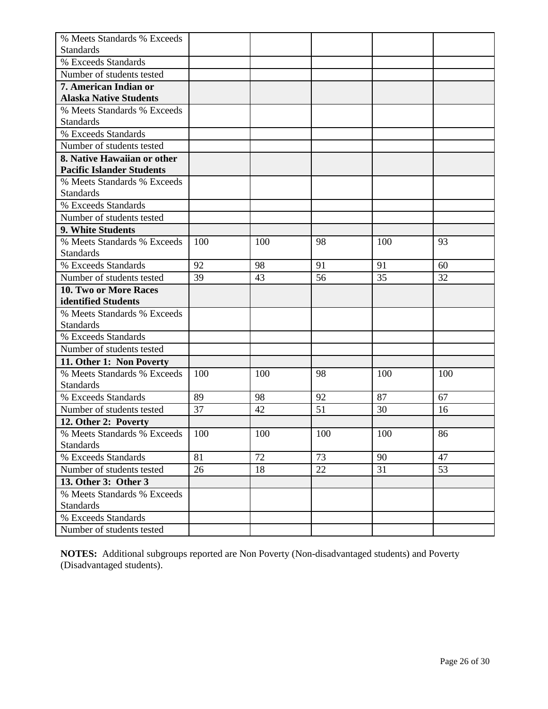| % Meets Standards % Exceeds      |     |     |     |     |     |
|----------------------------------|-----|-----|-----|-----|-----|
| <b>Standards</b>                 |     |     |     |     |     |
| % Exceeds Standards              |     |     |     |     |     |
| Number of students tested        |     |     |     |     |     |
| 7. American Indian or            |     |     |     |     |     |
| <b>Alaska Native Students</b>    |     |     |     |     |     |
| % Meets Standards % Exceeds      |     |     |     |     |     |
| <b>Standards</b>                 |     |     |     |     |     |
| % Exceeds Standards              |     |     |     |     |     |
| Number of students tested        |     |     |     |     |     |
| 8. Native Hawaiian or other      |     |     |     |     |     |
| <b>Pacific Islander Students</b> |     |     |     |     |     |
| % Meets Standards % Exceeds      |     |     |     |     |     |
| <b>Standards</b>                 |     |     |     |     |     |
| % Exceeds Standards              |     |     |     |     |     |
| Number of students tested        |     |     |     |     |     |
| 9. White Students                |     |     |     |     |     |
| % Meets Standards % Exceeds      | 100 | 100 | 98  | 100 | 93  |
| <b>Standards</b>                 |     |     |     |     |     |
| % Exceeds Standards              | 92  | 98  | 91  | 91  | 60  |
| Number of students tested        | 39  | 43  | 56  | 35  | 32  |
| 10. Two or More Races            |     |     |     |     |     |
| identified Students              |     |     |     |     |     |
| % Meets Standards % Exceeds      |     |     |     |     |     |
| <b>Standards</b>                 |     |     |     |     |     |
| % Exceeds Standards              |     |     |     |     |     |
| Number of students tested        |     |     |     |     |     |
| 11. Other 1: Non Poverty         |     |     |     |     |     |
| % Meets Standards % Exceeds      | 100 | 100 | 98  | 100 | 100 |
| <b>Standards</b>                 |     |     |     |     |     |
| % Exceeds Standards              | 89  | 98  | 92  | 87  | 67  |
| Number of students tested        | 37  | 42  | 51  | 30  | 16  |
| 12. Other 2: Poverty             |     |     |     |     |     |
| % Meets Standards % Exceeds      | 100 | 100 | 100 | 100 | 86  |
| <b>Standards</b>                 |     |     |     |     |     |
| % Exceeds Standards              | 81  | 72  | 73  | 90  | 47  |
| Number of students tested        | 26  | 18  | 22  | 31  | 53  |
| 13. Other 3: Other 3             |     |     |     |     |     |
| % Meets Standards % Exceeds      |     |     |     |     |     |
| <b>Standards</b>                 |     |     |     |     |     |
| % Exceeds Standards              |     |     |     |     |     |
| Number of students tested        |     |     |     |     |     |

**NOTES:** Additional subgroups reported are Non Poverty (Non-disadvantaged students) and Poverty (Disadvantaged students).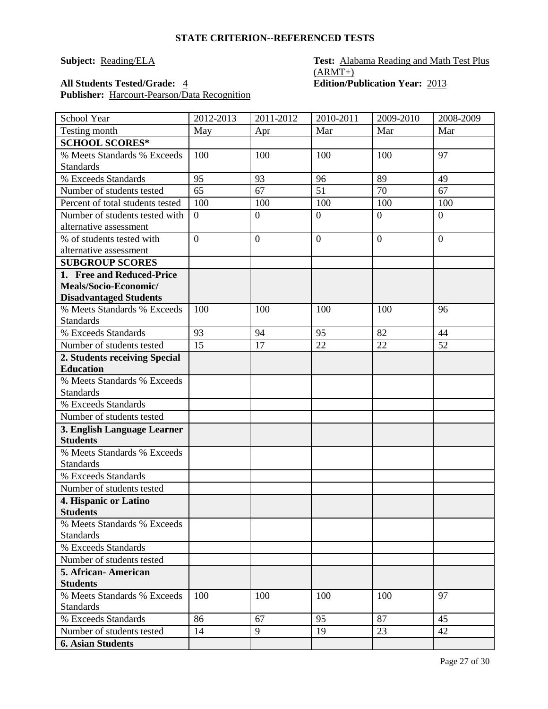### **Subject: Reading/ELA Test: Alabama Reading and Math Test Plus**  $(ARMT+)$ **All Students Tested/Grade:** 4 **Edition/Publication Year:** 2013

**Publisher:** Harcourt-Pearson/Data Recognition

| School Year                            | 2012-2013      | 2011-2012        | 2010-2011      | 2009-2010      | 2008-2009      |
|----------------------------------------|----------------|------------------|----------------|----------------|----------------|
| Testing month                          | May            | Apr              | Mar            | Mar            | Mar            |
| <b>SCHOOL SCORES*</b>                  |                |                  |                |                |                |
| % Meets Standards % Exceeds            | 100            | 100              | 100            | 100            | 97             |
| <b>Standards</b>                       |                |                  |                |                |                |
| % Exceeds Standards                    | 95             | 93               | 96             | 89             | 49             |
| Number of students tested              | 65             | 67               | 51             | 70             | 67             |
| Percent of total students tested       | 100            | 100              | 100            | 100            | 100            |
| Number of students tested with         | $\overline{0}$ | $\overline{0}$   | $\overline{0}$ | $\overline{0}$ | $\overline{0}$ |
| alternative assessment                 |                |                  |                |                |                |
| % of students tested with              | $\overline{0}$ | $\boldsymbol{0}$ | $\overline{0}$ | $\overline{0}$ | $\overline{0}$ |
| alternative assessment                 |                |                  |                |                |                |
| <b>SUBGROUP SCORES</b>                 |                |                  |                |                |                |
| 1. Free and Reduced-Price              |                |                  |                |                |                |
| Meals/Socio-Economic/                  |                |                  |                |                |                |
| <b>Disadvantaged Students</b>          |                |                  |                |                |                |
| % Meets Standards % Exceeds            | 100            | 100              | 100            | 100            | 96             |
| <b>Standards</b>                       |                |                  |                |                |                |
| % Exceeds Standards                    | 93             | 94               | 95             | 82             | 44             |
| Number of students tested              | 15             | 17               | 22             | 22             | 52             |
| 2. Students receiving Special          |                |                  |                |                |                |
| <b>Education</b>                       |                |                  |                |                |                |
| % Meets Standards % Exceeds            |                |                  |                |                |                |
| <b>Standards</b>                       |                |                  |                |                |                |
| % Exceeds Standards                    |                |                  |                |                |                |
| Number of students tested              |                |                  |                |                |                |
| 3. English Language Learner            |                |                  |                |                |                |
| <b>Students</b>                        |                |                  |                |                |                |
| % Meets Standards % Exceeds            |                |                  |                |                |                |
| <b>Standards</b>                       |                |                  |                |                |                |
| % Exceeds Standards                    |                |                  |                |                |                |
| Number of students tested              |                |                  |                |                |                |
| 4. Hispanic or Latino                  |                |                  |                |                |                |
| <b>Students</b>                        |                |                  |                |                |                |
| % Meets Standards % Exceeds            |                |                  |                |                |                |
| <b>Standards</b>                       |                |                  |                |                |                |
| % Exceeds Standards                    |                |                  |                |                |                |
| Number of students tested              |                |                  |                |                |                |
| 5. African-American<br><b>Students</b> |                |                  |                |                |                |
| % Meets Standards % Exceeds            | 100            | 100              | 100            | 100            | 97             |
| <b>Standards</b>                       |                |                  |                |                |                |
| % Exceeds Standards                    | 86             | 67               | 95             | 87             | 45             |
| Number of students tested              | 14             | 9                | 19             | 23             | 42             |
| <b>6. Asian Students</b>               |                |                  |                |                |                |
|                                        |                |                  |                |                |                |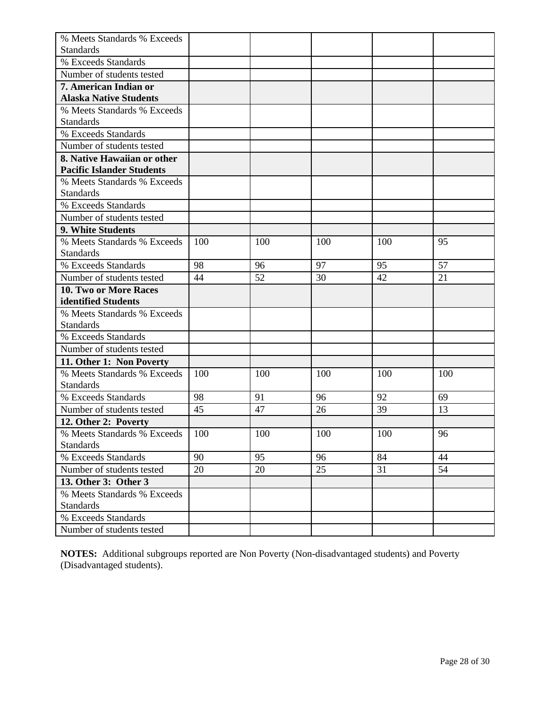| % Meets Standards % Exceeds      |     |     |     |     |     |
|----------------------------------|-----|-----|-----|-----|-----|
| <b>Standards</b>                 |     |     |     |     |     |
| % Exceeds Standards              |     |     |     |     |     |
| Number of students tested        |     |     |     |     |     |
| 7. American Indian or            |     |     |     |     |     |
| <b>Alaska Native Students</b>    |     |     |     |     |     |
| % Meets Standards % Exceeds      |     |     |     |     |     |
| <b>Standards</b>                 |     |     |     |     |     |
| % Exceeds Standards              |     |     |     |     |     |
| Number of students tested        |     |     |     |     |     |
| 8. Native Hawaiian or other      |     |     |     |     |     |
| <b>Pacific Islander Students</b> |     |     |     |     |     |
| % Meets Standards % Exceeds      |     |     |     |     |     |
| <b>Standards</b>                 |     |     |     |     |     |
| % Exceeds Standards              |     |     |     |     |     |
| Number of students tested        |     |     |     |     |     |
| 9. White Students                |     |     |     |     |     |
| % Meets Standards % Exceeds      | 100 | 100 | 100 | 100 | 95  |
| <b>Standards</b>                 |     |     |     |     |     |
| % Exceeds Standards              | 98  | 96  | 97  | 95  | 57  |
| Number of students tested        | 44  | 52  | 30  | 42  | 21  |
| 10. Two or More Races            |     |     |     |     |     |
| identified Students              |     |     |     |     |     |
| % Meets Standards % Exceeds      |     |     |     |     |     |
| <b>Standards</b>                 |     |     |     |     |     |
| % Exceeds Standards              |     |     |     |     |     |
| Number of students tested        |     |     |     |     |     |
| 11. Other 1: Non Poverty         |     |     |     |     |     |
| % Meets Standards % Exceeds      | 100 | 100 | 100 | 100 | 100 |
| <b>Standards</b>                 |     |     |     |     |     |
| % Exceeds Standards              | 98  | 91  | 96  | 92  | 69  |
| Number of students tested        | 45  | 47  | 26  | 39  | 13  |
| 12. Other 2: Poverty             |     |     |     |     |     |
| % Meets Standards % Exceeds      | 100 | 100 | 100 | 100 | 96  |
| <b>Standards</b>                 |     |     |     |     |     |
| % Exceeds Standards              | 90  | 95  | 96  | 84  | 44  |
| Number of students tested        | 20  | 20  | 25  | 31  | 54  |
| 13. Other 3: Other 3             |     |     |     |     |     |
| % Meets Standards % Exceeds      |     |     |     |     |     |
| <b>Standards</b>                 |     |     |     |     |     |
| % Exceeds Standards              |     |     |     |     |     |
| Number of students tested        |     |     |     |     |     |

**NOTES:** Additional subgroups reported are Non Poverty (Non-disadvantaged students) and Poverty (Disadvantaged students).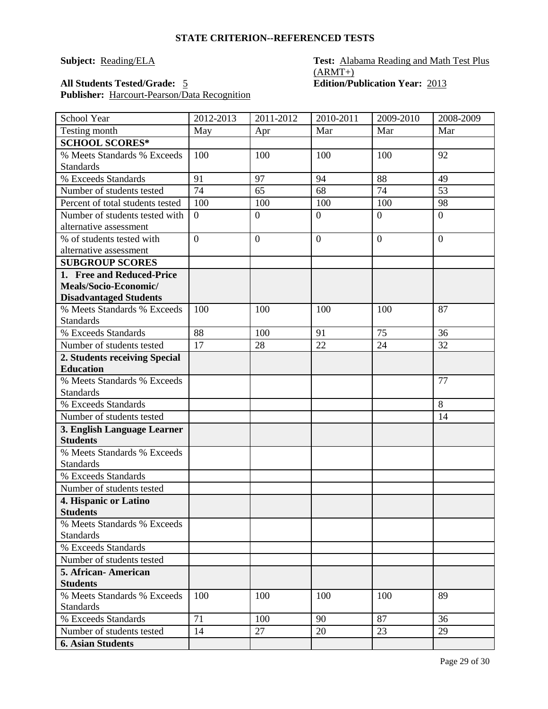### **Subject: Reading/ELA Test: Alabama Reading and Math Test Plus**  $(ARMT+)$ **All Students Tested/Grade:** 5 **Edition/Publication Year:** 2013

**Publisher:** Harcourt-Pearson/Data Recognition

| School Year                                    | 2012-2013       | 2011-2012        | 2010-2011      | 2009-2010       | 2008-2009       |
|------------------------------------------------|-----------------|------------------|----------------|-----------------|-----------------|
| Testing month                                  | May             | Apr              | Mar            | Mar             | Mar             |
| <b>SCHOOL SCORES*</b>                          |                 |                  |                |                 |                 |
| % Meets Standards % Exceeds                    | 100             | 100              | 100            | 100             | 92              |
| <b>Standards</b>                               |                 |                  |                |                 |                 |
| % Exceeds Standards                            | 91              | 97               | 94             | 88              | 49              |
| Number of students tested                      | $\overline{74}$ | 65               | 68             | $\overline{74}$ | $\overline{53}$ |
| Percent of total students tested               | 100             | 100              | 100            | 100             | 98              |
| Number of students tested with                 | $\overline{0}$  | $\boldsymbol{0}$ | $\overline{0}$ | $\overline{0}$  | $\overline{0}$  |
| alternative assessment                         |                 |                  |                |                 |                 |
| % of students tested with                      | $\overline{0}$  | $\overline{0}$   | $\overline{0}$ | $\overline{0}$  | $\overline{0}$  |
| alternative assessment                         |                 |                  |                |                 |                 |
| <b>SUBGROUP SCORES</b>                         |                 |                  |                |                 |                 |
| 1. Free and Reduced-Price                      |                 |                  |                |                 |                 |
| Meals/Socio-Economic/                          |                 |                  |                |                 |                 |
| <b>Disadvantaged Students</b>                  |                 |                  |                |                 |                 |
| % Meets Standards % Exceeds                    | 100             | 100              | 100            | 100             | 87              |
| <b>Standards</b>                               |                 |                  |                |                 |                 |
| % Exceeds Standards                            | 88              | 100              | 91             | 75              | 36              |
| Number of students tested                      | 17              | 28               | 22             | 24              | 32              |
| 2. Students receiving Special                  |                 |                  |                |                 |                 |
| <b>Education</b>                               |                 |                  |                |                 |                 |
| % Meets Standards % Exceeds                    |                 |                  |                |                 | 77              |
| <b>Standards</b><br>% Exceeds Standards        |                 |                  |                |                 | 8               |
| Number of students tested                      |                 |                  |                |                 | 14              |
|                                                |                 |                  |                |                 |                 |
| 3. English Language Learner<br><b>Students</b> |                 |                  |                |                 |                 |
| % Meets Standards % Exceeds                    |                 |                  |                |                 |                 |
| <b>Standards</b>                               |                 |                  |                |                 |                 |
| % Exceeds Standards                            |                 |                  |                |                 |                 |
| Number of students tested                      |                 |                  |                |                 |                 |
| 4. Hispanic or Latino                          |                 |                  |                |                 |                 |
| <b>Students</b>                                |                 |                  |                |                 |                 |
| % Meets Standards % Exceeds                    |                 |                  |                |                 |                 |
| <b>Standards</b>                               |                 |                  |                |                 |                 |
| % Exceeds Standards                            |                 |                  |                |                 |                 |
| Number of students tested                      |                 |                  |                |                 |                 |
| 5. African - American                          |                 |                  |                |                 |                 |
| <b>Students</b>                                |                 |                  |                |                 |                 |
| % Meets Standards % Exceeds                    | 100             | 100              | 100            | 100             | 89              |
| <b>Standards</b>                               |                 |                  |                |                 |                 |
| % Exceeds Standards                            | 71              | 100              | 90             | 87              | 36              |
| Number of students tested                      | 14              | 27               | 20             | 23              | 29              |
| <b>6. Asian Students</b>                       |                 |                  |                |                 |                 |